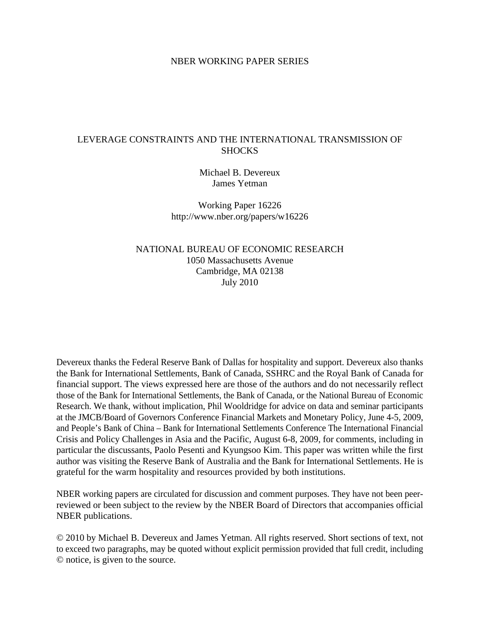## NBER WORKING PAPER SERIES

# LEVERAGE CONSTRAINTS AND THE INTERNATIONAL TRANSMISSION OF **SHOCKS**

Michael B. Devereux James Yetman

Working Paper 16226 http://www.nber.org/papers/w16226

NATIONAL BUREAU OF ECONOMIC RESEARCH 1050 Massachusetts Avenue Cambridge, MA 02138 July 2010

Devereux thanks the Federal Reserve Bank of Dallas for hospitality and support. Devereux also thanks the Bank for International Settlements, Bank of Canada, SSHRC and the Royal Bank of Canada for financial support. The views expressed here are those of the authors and do not necessarily reflect those of the Bank for International Settlements, the Bank of Canada, or the National Bureau of Economic Research. We thank, without implication, Phil Wooldridge for advice on data and seminar participants at the JMCB/Board of Governors Conference Financial Markets and Monetary Policy, June 4-5, 2009, and People's Bank of China – Bank for International Settlements Conference The International Financial Crisis and Policy Challenges in Asia and the Pacific, August 6-8, 2009, for comments, including in particular the discussants, Paolo Pesenti and Kyungsoo Kim. This paper was written while the first author was visiting the Reserve Bank of Australia and the Bank for International Settlements. He is grateful for the warm hospitality and resources provided by both institutions.

NBER working papers are circulated for discussion and comment purposes. They have not been peerreviewed or been subject to the review by the NBER Board of Directors that accompanies official NBER publications.

© 2010 by Michael B. Devereux and James Yetman. All rights reserved. Short sections of text, not to exceed two paragraphs, may be quoted without explicit permission provided that full credit, including © notice, is given to the source.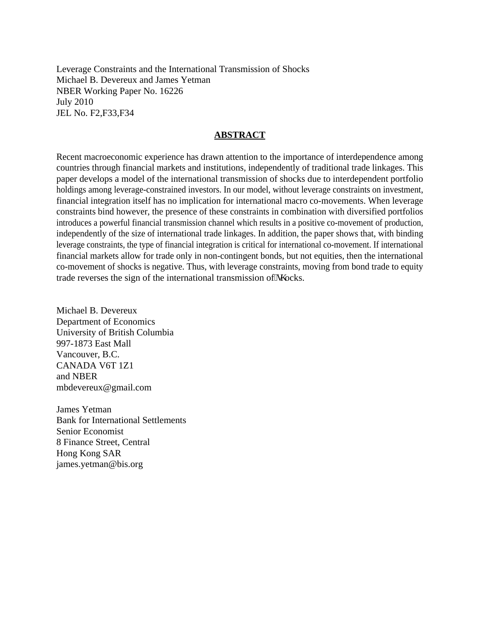Leverage Constraints and the International Transmission of Shocks Michael B. Devereux and James Yetman NBER Working Paper No. 16226 July 2010 JEL No. F2,F33,F34

# **ABSTRACT**

Recent macroeconomic experience has drawn attention to the importance of interdependence among countries through financial markets and institutions, independently of traditional trade linkages. This paper develops a model of the international transmission of shocks due to interdependent portfolio holdings among leverage-constrained investors. In our model, without leverage constraints on investment, financial integration itself has no implication for international macro co-movements. When leverage constraints bind however, the presence of these constraints in combination with diversified portfolios introduces a powerful financial transmission channel which results in a positive co-movement of production, independently of the size of international trade linkages. In addition, the paper shows that, with binding leverage constraints, the type of financial integration is critical for international co-movement. If international financial markets allow for trade only in non-contingent bonds, but not equities, then the international co-movement of shocks is negative. Thus, with leverage constraints, moving from bond trade to equity trade reverses the sign of the international transmission of u ocks.

Michael B. Devereux Department of Economics University of British Columbia 997-1873 East Mall Vancouver, B.C. CANADA V6T 1Z1 and NBER mbdevereux@gmail.com

James Yetman Bank for International Settlements Senior Economist 8 Finance Street, Central Hong Kong SAR james.yetman@bis.org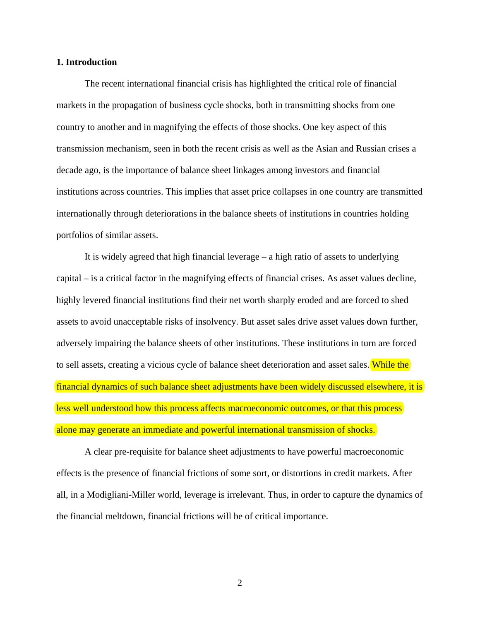#### **1. Introduction**

The recent international financial crisis has highlighted the critical role of financial markets in the propagation of business cycle shocks, both in transmitting shocks from one country to another and in magnifying the effects of those shocks. One key aspect of this transmission mechanism, seen in both the recent crisis as well as the Asian and Russian crises a decade ago, is the importance of balance sheet linkages among investors and financial institutions across countries. This implies that asset price collapses in one country are transmitted internationally through deteriorations in the balance sheets of institutions in countries holding portfolios of similar assets.

It is widely agreed that high financial leverage – a high ratio of assets to underlying capital – is a critical factor in the magnifying effects of financial crises. As asset values decline, highly levered financial institutions find their net worth sharply eroded and are forced to shed assets to avoid unacceptable risks of insolvency. But asset sales drive asset values down further, adversely impairing the balance sheets of other institutions. These institutions in turn are forced to sell assets, creating a vicious cycle of balance sheet deterioration and asset sales. While the financial dynamics of such balance sheet adjustments have been widely discussed elsewhere, it is less well understood how this process affects macroeconomic outcomes, or that this process alone may generate an immediate and powerful international transmission of shocks.

A clear pre-requisite for balance sheet adjustments to have powerful macroeconomic effects is the presence of financial frictions of some sort, or distortions in credit markets. After all, in a Modigliani-Miller world, leverage is irrelevant. Thus, in order to capture the dynamics of the financial meltdown, financial frictions will be of critical importance.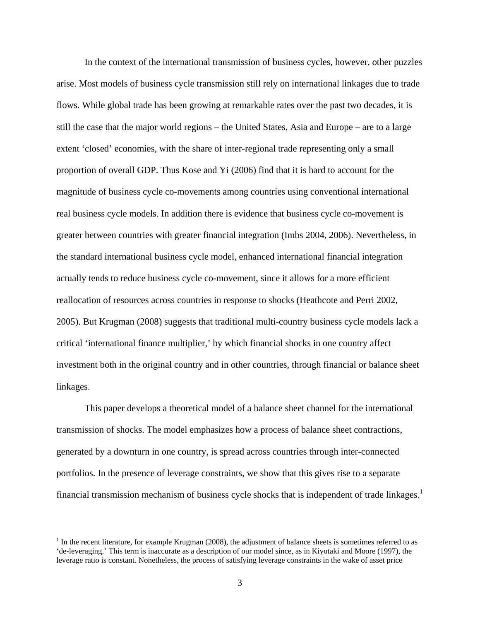In the context of the international transmission of business cycles, however, other puzzles arise. Most models of business cycle transmission still rely on international linkages due to trade flows. While global trade has been growing at remarkable rates over the past two decades, it is still the case that the major world regions – the United States, Asia and Europe – are to a large extent 'closed' economies, with the share of inter-regional trade representing only a small proportion of overall GDP. Thus Kose and Yi (2006) find that it is hard to account for the magnitude of business cycle co-movements among countries using conventional international real business cycle models. In addition there is evidence that business cycle co-movement is greater between countries with greater financial integration (Imbs 2004, 2006). Nevertheless, in the standard international business cycle model, enhanced international financial integration actually tends to reduce business cycle co-movement, since it allows for a more efficient reallocation of resources across countries in response to shocks (Heathcote and Perri 2002, 2005). But Krugman (2008) suggests that traditional multi-country business cycle models lack a critical 'international finance multiplier,' by which financial shocks in one country affect investment both in the original country and in other countries, through financial or balance sheet linkages.

This paper develops a theoretical model of a balance sheet channel for the international transmission of shocks. The model emphasizes how a process of balance sheet contractions, generated by a downturn in one country, is spread across countries through inter-connected portfolios. In the presence of leverage constraints, we show that this gives rise to a separate financial transmission mechanism of business cycle shocks that is independent of trade linkages.<sup>1</sup>

 $<sup>1</sup>$  In the recent literature, for example Krugman (2008), the adjustment of balance sheets is sometimes referred to as</sup> 'de-leveraging.' This term is inaccurate as a description of our model since, as in Kiyotaki and Moore (1997), the leverage ratio is constant. Nonetheless, the process of satisfying leverage constraints in the wake of asset price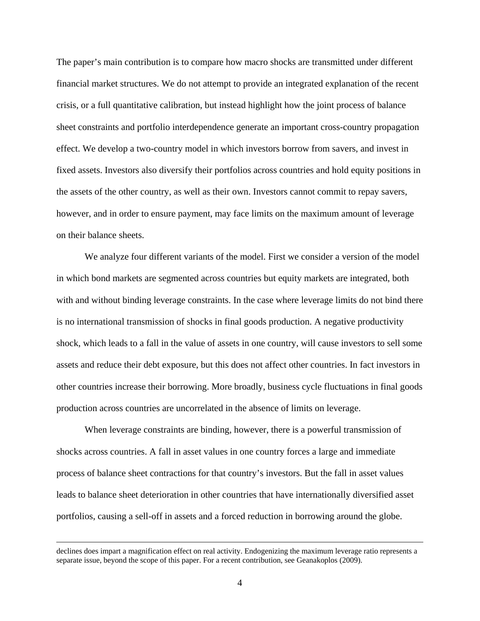The paper's main contribution is to compare how macro shocks are transmitted under different financial market structures. We do not attempt to provide an integrated explanation of the recent crisis, or a full quantitative calibration, but instead highlight how the joint process of balance sheet constraints and portfolio interdependence generate an important cross-country propagation effect. We develop a two-country model in which investors borrow from savers, and invest in fixed assets. Investors also diversify their portfolios across countries and hold equity positions in the assets of the other country, as well as their own. Investors cannot commit to repay savers, however, and in order to ensure payment, may face limits on the maximum amount of leverage on their balance sheets.

We analyze four different variants of the model. First we consider a version of the model in which bond markets are segmented across countries but equity markets are integrated, both with and without binding leverage constraints. In the case where leverage limits do not bind there is no international transmission of shocks in final goods production. A negative productivity shock, which leads to a fall in the value of assets in one country, will cause investors to sell some assets and reduce their debt exposure, but this does not affect other countries. In fact investors in other countries increase their borrowing. More broadly, business cycle fluctuations in final goods production across countries are uncorrelated in the absence of limits on leverage.

When leverage constraints are binding, however, there is a powerful transmission of shocks across countries. A fall in asset values in one country forces a large and immediate process of balance sheet contractions for that country's investors. But the fall in asset values leads to balance sheet deterioration in other countries that have internationally diversified asset portfolios, causing a sell-off in assets and a forced reduction in borrowing around the globe.

declines does impart a magnification effect on real activity. Endogenizing the maximum leverage ratio represents a separate issue, beyond the scope of this paper. For a recent contribution, see Geanakoplos (2009).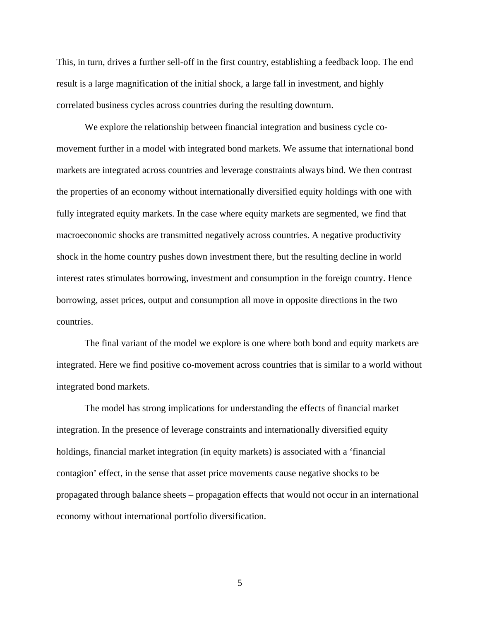This, in turn, drives a further sell-off in the first country, establishing a feedback loop. The end result is a large magnification of the initial shock, a large fall in investment, and highly correlated business cycles across countries during the resulting downturn.

We explore the relationship between financial integration and business cycle comovement further in a model with integrated bond markets. We assume that international bond markets are integrated across countries and leverage constraints always bind. We then contrast the properties of an economy without internationally diversified equity holdings with one with fully integrated equity markets. In the case where equity markets are segmented, we find that macroeconomic shocks are transmitted negatively across countries. A negative productivity shock in the home country pushes down investment there, but the resulting decline in world interest rates stimulates borrowing, investment and consumption in the foreign country. Hence borrowing, asset prices, output and consumption all move in opposite directions in the two countries.

The final variant of the model we explore is one where both bond and equity markets are integrated. Here we find positive co-movement across countries that is similar to a world without integrated bond markets.

The model has strong implications for understanding the effects of financial market integration. In the presence of leverage constraints and internationally diversified equity holdings, financial market integration (in equity markets) is associated with a 'financial contagion' effect, in the sense that asset price movements cause negative shocks to be propagated through balance sheets – propagation effects that would not occur in an international economy without international portfolio diversification.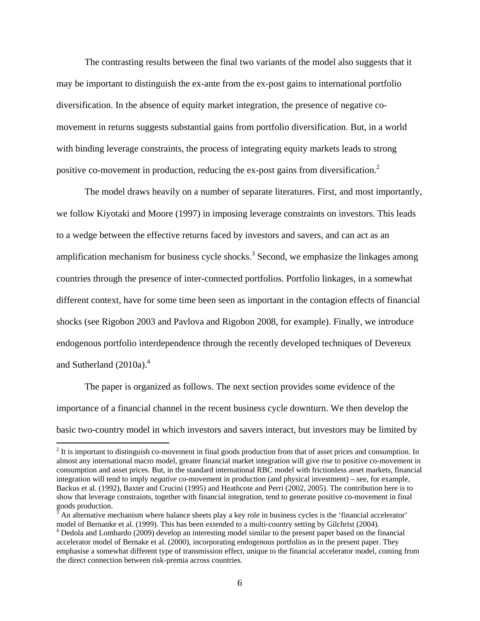The contrasting results between the final two variants of the model also suggests that it may be important to distinguish the ex-ante from the ex-post gains to international portfolio diversification. In the absence of equity market integration, the presence of negative comovement in returns suggests substantial gains from portfolio diversification. But, in a world with binding leverage constraints, the process of integrating equity markets leads to strong positive co-movement in production, reducing the ex-post gains from diversification.<sup>2</sup>

The model draws heavily on a number of separate literatures. First, and most importantly, we follow Kiyotaki and Moore (1997) in imposing leverage constraints on investors. This leads to a wedge between the effective returns faced by investors and savers, and can act as an amplification mechanism for business cycle shocks.<sup>3</sup> Second, we emphasize the linkages among countries through the presence of inter-connected portfolios. Portfolio linkages, in a somewhat different context, have for some time been seen as important in the contagion effects of financial shocks (see Rigobon 2003 and Pavlova and Rigobon 2008, for example). Finally, we introduce endogenous portfolio interdependence through the recently developed techniques of Devereux and Sutherland  $(2010a)$ .<sup>4</sup>

The paper is organized as follows. The next section provides some evidence of the importance of a financial channel in the recent business cycle downturn. We then develop the basic two-country model in which investors and savers interact, but investors may be limited by

<sup>&</sup>lt;sup>2</sup> It is important to distinguish co-movement in final goods production from that of asset prices and consumption. In almost any international macro model, greater financial market integration will give rise to positive co-movement in consumption and asset prices. But, in the standard international RBC model with frictionless asset markets, financial integration will tend to imply *negative* co-movement in production (and physical investment) – see, for example, Backus et al. (1992), Baxter and Crucini (1995) and Heathcote and Perri (2002, 2005). The contribution here is to show that leverage constraints, together with financial integration, tend to generate positive co-movement in final goods production.

 $3$  An alternative mechanism where balance sheets play a key role in business cycles is the 'financial accelerator' model of Bernanke et al. (1999). This has been extended to a multi-country setting by Gilchrist (2004).

<sup>&</sup>lt;sup>4</sup> Dedola and Lombardo (2009) develop an interesting model similar to the present paper based on the financial accelerator model of Bernake et al. (2000), incorporating endogenous portfolios as in the present paper. They emphasise a somewhat different type of transmission effect, unique to the financial accelerator model, coming from the direct connection between risk-premia across countries.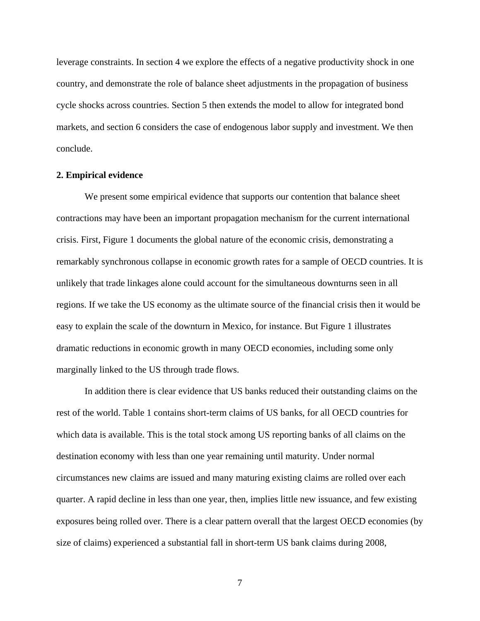leverage constraints. In section 4 we explore the effects of a negative productivity shock in one country, and demonstrate the role of balance sheet adjustments in the propagation of business cycle shocks across countries. Section 5 then extends the model to allow for integrated bond markets, and section 6 considers the case of endogenous labor supply and investment. We then conclude.

#### **2. Empirical evidence**

We present some empirical evidence that supports our contention that balance sheet contractions may have been an important propagation mechanism for the current international crisis. First, Figure 1 documents the global nature of the economic crisis, demonstrating a remarkably synchronous collapse in economic growth rates for a sample of OECD countries. It is unlikely that trade linkages alone could account for the simultaneous downturns seen in all regions. If we take the US economy as the ultimate source of the financial crisis then it would be easy to explain the scale of the downturn in Mexico, for instance. But Figure 1 illustrates dramatic reductions in economic growth in many OECD economies, including some only marginally linked to the US through trade flows.

In addition there is clear evidence that US banks reduced their outstanding claims on the rest of the world. Table 1 contains short-term claims of US banks, for all OECD countries for which data is available. This is the total stock among US reporting banks of all claims on the destination economy with less than one year remaining until maturity. Under normal circumstances new claims are issued and many maturing existing claims are rolled over each quarter. A rapid decline in less than one year, then, implies little new issuance, and few existing exposures being rolled over. There is a clear pattern overall that the largest OECD economies (by size of claims) experienced a substantial fall in short-term US bank claims during 2008,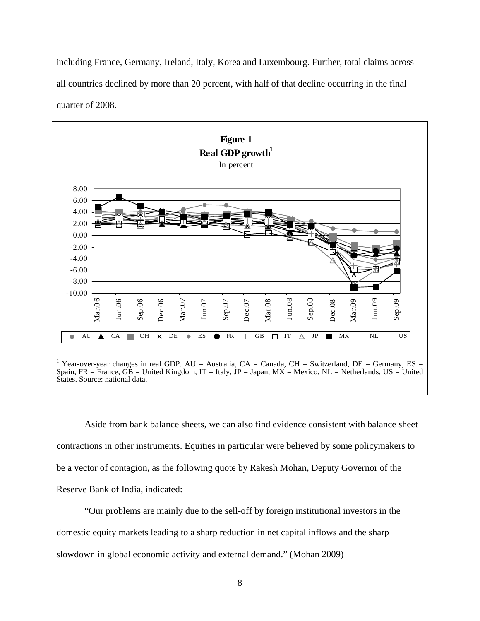including France, Germany, Ireland, Italy, Korea and Luxembourg. Further, total claims across all countries declined by more than 20 percent, with half of that decline occurring in the final quarter of 2008.



<sup>1</sup> Year-over-year changes in real GDP. AU = Australia, CA = Canada, CH = Switzerland, DE = Germany, ES = Spain,  $FR =$  France,  $\overline{GB} =$  United Kingdom, IT = Italy, JP = Japan,  $MX =$  Mexico,  $NL =$  Netherlands, US = United States. Source: national data.

Aside from bank balance sheets, we can also find evidence consistent with balance sheet contractions in other instruments. Equities in particular were believed by some policymakers to be a vector of contagion, as the following quote by Rakesh Mohan, Deputy Governor of the Reserve Bank of India, indicated:

"Our problems are mainly due to the sell-off by foreign institutional investors in the domestic equity markets leading to a sharp reduction in net capital inflows and the sharp slowdown in global economic activity and external demand." (Mohan 2009)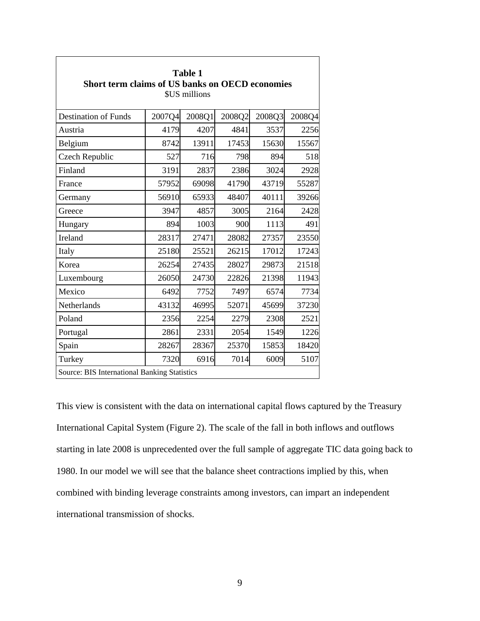| <b>Table 1</b><br>Short term claims of US banks on OECD economies<br>\$US millions |        |        |        |        |        |  |  |  |  |
|------------------------------------------------------------------------------------|--------|--------|--------|--------|--------|--|--|--|--|
| <b>Destination of Funds</b>                                                        | 2007Q4 | 2008Q1 | 2008Q2 | 2008Q3 | 2008Q4 |  |  |  |  |
| Austria                                                                            | 4179   | 4207   | 4841   | 3537   | 2256   |  |  |  |  |
| Belgium                                                                            | 8742   | 13911  | 17453  | 15630  | 15567  |  |  |  |  |
| Czech Republic                                                                     | 527    | 716    | 798    | 894    | 518    |  |  |  |  |
| Finland                                                                            | 3191   | 2837   | 2386   | 3024   | 2928   |  |  |  |  |
| France                                                                             | 57952  | 69098  | 41790  | 43719  | 55287  |  |  |  |  |
| Germany                                                                            | 56910  | 65933  | 48407  | 40111  | 39266  |  |  |  |  |
| Greece                                                                             | 3947   | 4857   | 3005   | 2164   | 2428   |  |  |  |  |
| Hungary                                                                            | 894    | 1003   | 900    | 1113   | 491    |  |  |  |  |
| Ireland                                                                            | 28317  | 27471  | 28082  | 27357  | 23550  |  |  |  |  |
| Italy                                                                              | 25180  | 25521  | 26215  | 17012  | 17243  |  |  |  |  |
| Korea                                                                              | 26254  | 27435  | 28027  | 29873  | 21518  |  |  |  |  |
| Luxembourg                                                                         | 26050  | 24730  | 22826  | 21398  | 11943  |  |  |  |  |
| Mexico                                                                             | 6492   | 7752   | 7497   | 6574   | 7734   |  |  |  |  |
| Netherlands                                                                        | 43132  | 46995  | 52071  | 45699  | 37230  |  |  |  |  |
| Poland                                                                             | 2356   | 2254   | 2279   | 2308   | 2521   |  |  |  |  |
| Portugal                                                                           | 2861   | 2331   | 2054   | 1549   | 1226   |  |  |  |  |
| Spain                                                                              | 28267  | 28367  | 25370  | 15853  | 18420  |  |  |  |  |
| Turkey                                                                             | 7320   | 6916   | 7014   | 6009   | 5107   |  |  |  |  |
| Source: BIS International Banking Statistics                                       |        |        |        |        |        |  |  |  |  |

This view is consistent with the data on international capital flows captured by the Treasury International Capital System (Figure 2). The scale of the fall in both inflows and outflows starting in late 2008 is unprecedented over the full sample of aggregate TIC data going back to 1980. In our model we will see that the balance sheet contractions implied by this, when combined with binding leverage constraints among investors, can impart an independent international transmission of shocks.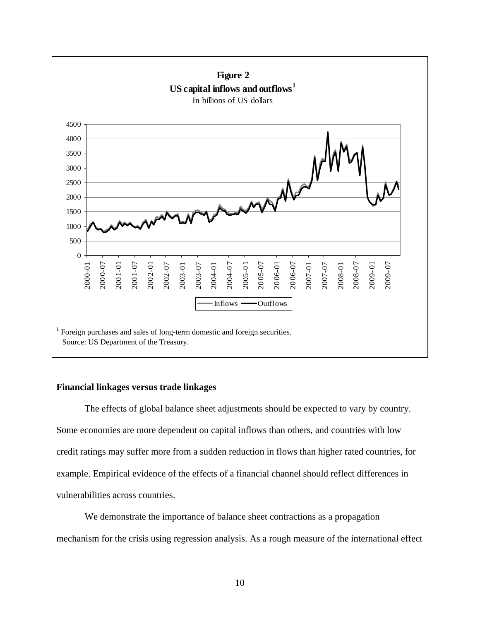

## **Financial linkages versus trade linkages**

The effects of global balance sheet adjustments should be expected to vary by country. Some economies are more dependent on capital inflows than others, and countries with low credit ratings may suffer more from a sudden reduction in flows than higher rated countries, for example. Empirical evidence of the effects of a financial channel should reflect differences in vulnerabilities across countries.

We demonstrate the importance of balance sheet contractions as a propagation mechanism for the crisis using regression analysis. As a rough measure of the international effect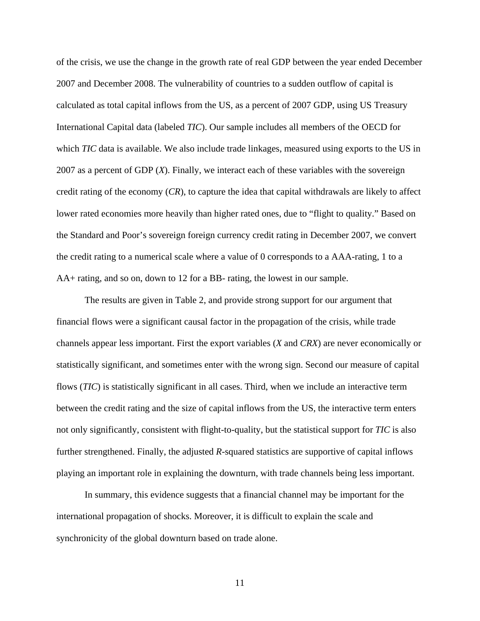of the crisis, we use the change in the growth rate of real GDP between the year ended December 2007 and December 2008. The vulnerability of countries to a sudden outflow of capital is calculated as total capital inflows from the US, as a percent of 2007 GDP, using US Treasury International Capital data (labeled *TIC*). Our sample includes all members of the OECD for which *TIC* data is available. We also include trade linkages, measured using exports to the US in 2007 as a percent of GDP (*X*). Finally, we interact each of these variables with the sovereign credit rating of the economy (*CR*), to capture the idea that capital withdrawals are likely to affect lower rated economies more heavily than higher rated ones, due to "flight to quality." Based on the Standard and Poor's sovereign foreign currency credit rating in December 2007, we convert the credit rating to a numerical scale where a value of 0 corresponds to a AAA-rating, 1 to a AA+ rating, and so on, down to 12 for a BB- rating, the lowest in our sample.

The results are given in Table 2, and provide strong support for our argument that financial flows were a significant causal factor in the propagation of the crisis, while trade channels appear less important. First the export variables (*X* and *CRX*) are never economically or statistically significant, and sometimes enter with the wrong sign. Second our measure of capital flows (*TIC*) is statistically significant in all cases. Third, when we include an interactive term between the credit rating and the size of capital inflows from the US, the interactive term enters not only significantly, consistent with flight-to-quality, but the statistical support for *TIC* is also further strengthened. Finally, the adjusted *R*-squared statistics are supportive of capital inflows playing an important role in explaining the downturn, with trade channels being less important.

In summary, this evidence suggests that a financial channel may be important for the international propagation of shocks. Moreover, it is difficult to explain the scale and synchronicity of the global downturn based on trade alone.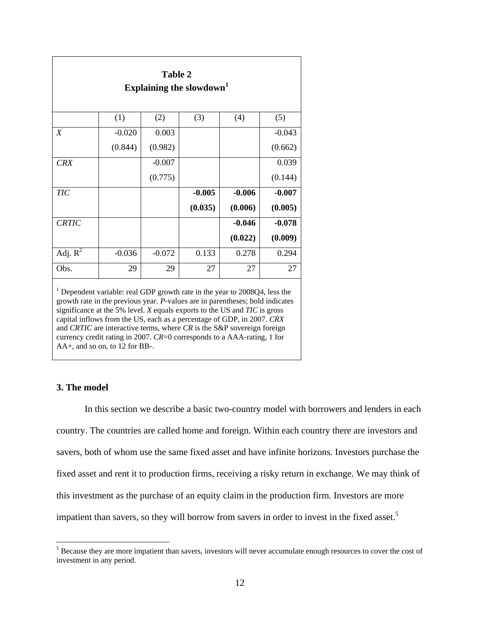| <b>Table 2</b><br>Explaining the slowdown <sup>1</sup>                           |          |          |          |          |          |  |  |  |
|----------------------------------------------------------------------------------|----------|----------|----------|----------|----------|--|--|--|
|                                                                                  | (1)      | (2)      | (3)      | (4)      | (5)      |  |  |  |
| X                                                                                | $-0.020$ | 0.003    |          |          | $-0.043$ |  |  |  |
|                                                                                  | (0.844)  | (0.982)  |          |          | (0.662)  |  |  |  |
| <b>CRX</b>                                                                       |          | $-0.007$ |          |          | 0.039    |  |  |  |
|                                                                                  |          | (0.775)  |          |          | (0.144)  |  |  |  |
| <b>TIC</b>                                                                       |          |          | $-0.005$ | $-0.006$ | $-0.007$ |  |  |  |
|                                                                                  |          |          | (0.035)  | (0.006)  | (0.005)  |  |  |  |
| <b>CRTIC</b>                                                                     |          |          |          | $-0.046$ | $-0.078$ |  |  |  |
|                                                                                  |          |          |          | (0.022)  | (0.009)  |  |  |  |
| Adj. $R^2$                                                                       | $-0.036$ | $-0.072$ | 0.133    | 0.278    | 0.294    |  |  |  |
| Obs.                                                                             | 29       | 29       | 27       | 27       | 27       |  |  |  |
| $^{-1}$ Dependent veriable: real GDP growth rate in the year to 200804, less the |          |          |          |          |          |  |  |  |

 Dependent variable: real GDP growth rate in the year to 2008Q4, less the growth rate in the previous year. *P*-values are in parentheses; bold indicates significance at the 5% level. *X* equals exports to the US and *TIC* is gross capital inflows from the US, each as a percentage of GDP, in 2007. *CRX* and *CRTIC* are interactive terms, where *CR* is the S&P sovereign foreign currency credit rating in 2007. *CR*=0 corresponds to a AAA-rating, 1 for AA+, and so on, to 12 for BB-.

## **3. The model**

1

In this section we describe a basic two-country model with borrowers and lenders in each country. The countries are called home and foreign. Within each country there are investors and savers, both of whom use the same fixed asset and have infinite horizons. Investors purchase the fixed asset and rent it to production firms, receiving a risky return in exchange. We may think of this investment as the purchase of an equity claim in the production firm. Investors are more impatient than savers, so they will borrow from savers in order to invest in the fixed asset.<sup>5</sup>

<sup>&</sup>lt;sup>5</sup> Because they are more impatient than savers, investors will never accumulate enough resources to cover the cost of investment in any period.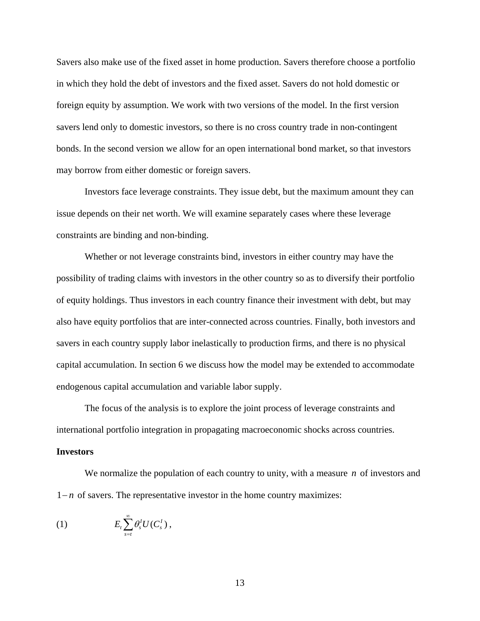Savers also make use of the fixed asset in home production. Savers therefore choose a portfolio in which they hold the debt of investors and the fixed asset. Savers do not hold domestic or foreign equity by assumption. We work with two versions of the model. In the first version savers lend only to domestic investors, so there is no cross country trade in non-contingent bonds. In the second version we allow for an open international bond market, so that investors may borrow from either domestic or foreign savers.

Investors face leverage constraints. They issue debt, but the maximum amount they can issue depends on their net worth. We will examine separately cases where these leverage constraints are binding and non-binding.

Whether or not leverage constraints bind, investors in either country may have the possibility of trading claims with investors in the other country so as to diversify their portfolio of equity holdings. Thus investors in each country finance their investment with debt, but may also have equity portfolios that are inter-connected across countries. Finally, both investors and savers in each country supply labor inelastically to production firms, and there is no physical capital accumulation. In section 6 we discuss how the model may be extended to accommodate endogenous capital accumulation and variable labor supply.

The focus of the analysis is to explore the joint process of leverage constraints and international portfolio integration in propagating macroeconomic shocks across countries.

# **Investors**

We normalize the population of each country to unity, with a measure *n* of investors and  $1 - n$  of savers. The representative investor in the home country maximizes:

$$
(1) \t E_t \sum_{s=t}^{\infty} \theta_s^l U(C_s^l) ,
$$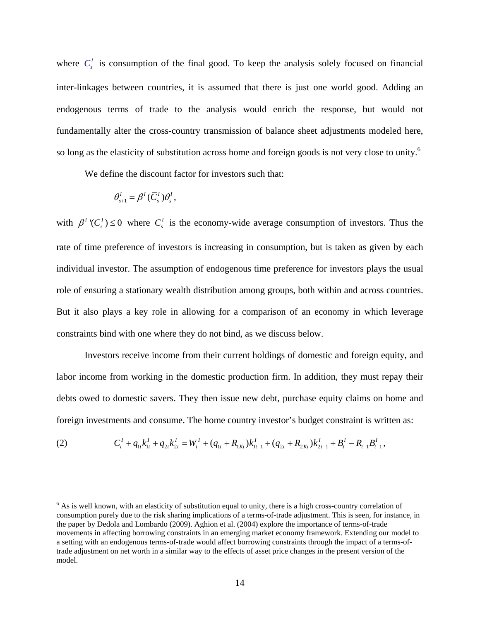where  $C_s^I$  is consumption of the final good. To keep the analysis solely focused on financial inter-linkages between countries, it is assumed that there is just one world good. Adding an endogenous terms of trade to the analysis would enrich the response, but would not fundamentally alter the cross-country transmission of balance sheet adjustments modeled here, so long as the elasticity of substitution across home and foreign goods is not very close to unity.<sup>6</sup>

We define the discount factor for investors such that:

$$
\theta_{s+1}^I = \beta^I(\overline{C}_s^I)\theta_s^I,
$$

<u>.</u>

with  $\beta^I$   $(\overline{C_s^I}) \leq 0$  where  $\overline{C_s^I}$  is the economy-wide average consumption of investors. Thus the rate of time preference of investors is increasing in consumption, but is taken as given by each individual investor. The assumption of endogenous time preference for investors plays the usual role of ensuring a stationary wealth distribution among groups, both within and across countries. But it also plays a key role in allowing for a comparison of an economy in which leverage constraints bind with one where they do not bind, as we discuss below.

 Investors receive income from their current holdings of domestic and foreign equity, and labor income from working in the domestic production firm. In addition, they must repay their debts owed to domestic savers. They then issue new debt, purchase equity claims on home and foreign investments and consume. The home country investor's budget constraint is written as:

(2) 
$$
C_t^I + q_{1t}k_{1t}^I + q_{2t}k_{2t}^I = W_t^I + (q_{1t} + R_{1kt})k_{1t-1}^I + (q_{2t} + R_{2kt})k_{2t-1}^I + B_t^I - R_{t-1}B_{t-1}^I,
$$

 $6$  As is well known, with an elasticity of substitution equal to unity, there is a high cross-country correlation of consumption purely due to the risk sharing implications of a terms-of-trade adjustment. This is seen, for instance, in the paper by Dedola and Lombardo (2009). Aghion et al. (2004) explore the importance of terms-of-trade movements in affecting borrowing constraints in an emerging market economy framework. Extending our model to a setting with an endogenous terms-of-trade would affect borrowing constraints through the impact of a terms-oftrade adjustment on net worth in a similar way to the effects of asset price changes in the present version of the model.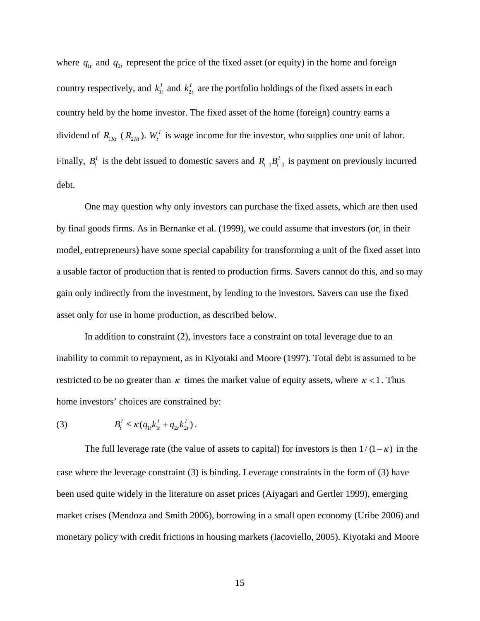where  $q_{1t}$  and  $q_{2t}$  represent the price of the fixed asset (or equity) in the home and foreign country respectively, and  $k_{1t}^I$  and  $k_{2t}^I$  are the portfolio holdings of the fixed assets in each country held by the home investor. The fixed asset of the home (foreign) country earns a dividend of  $R_{1kt}$  ( $R_{2kt}$ ).  $W_t^T$  is wage income for the investor, who supplies one unit of labor. Finally,  $B_t^I$  is the debt issued to domestic savers and  $R_{t-1}B_{t-1}^I$  is payment on previously incurred debt.

 One may question why only investors can purchase the fixed assets, which are then used by final goods firms. As in Bernanke et al. (1999), we could assume that investors (or, in their model, entrepreneurs) have some special capability for transforming a unit of the fixed asset into a usable factor of production that is rented to production firms. Savers cannot do this, and so may gain only indirectly from the investment, by lending to the investors. Savers can use the fixed asset only for use in home production, as described below.

 In addition to constraint (2), investors face a constraint on total leverage due to an inability to commit to repayment, as in Kiyotaki and Moore (1997). Total debt is assumed to be restricted to be no greater than  $\kappa$  times the market value of equity assets, where  $\kappa < 1$ . Thus home investors' choices are constrained by:

(3) 
$$
B_t^I \leq \kappa (q_{1t} k_{1t}^I + q_{2t} k_{2t}^I).
$$

The full leverage rate (the value of assets to capital) for investors is then  $1/(1 - \kappa)$  in the case where the leverage constraint (3) is binding. Leverage constraints in the form of (3) have been used quite widely in the literature on asset prices (Aiyagari and Gertler 1999), emerging market crises (Mendoza and Smith 2006), borrowing in a small open economy (Uribe 2006) and monetary policy with credit frictions in housing markets (Iacoviello, 2005). Kiyotaki and Moore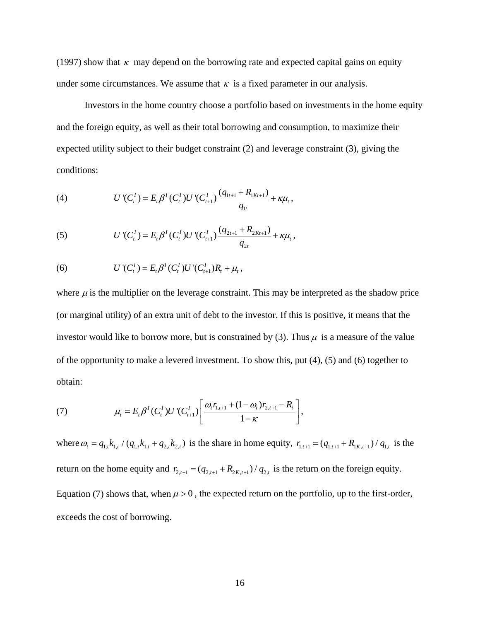(1997) show that  $\kappa$  may depend on the borrowing rate and expected capital gains on equity under some circumstances. We assume that  $\kappa$  is a fixed parameter in our analysis.

Investors in the home country choose a portfolio based on investments in the home equity and the foreign equity, as well as their total borrowing and consumption, to maximize their expected utility subject to their budget constraint (2) and leverage constraint (3), giving the conditions:

(4) 
$$
U'(C_t^1) = E_t \beta^1 (C_t^1) U'(C_{t+1}^1) \frac{(q_{1t+1} + R_{1Kt+1})}{q_{1t}} + \kappa \mu_t,
$$

(5) 
$$
U'(C_t^1) = E_t \beta^1 (C_t^1) U'(C_{t+1}^1) \frac{(q_{2t+1} + R_{2Kt+1})}{q_{2t}} + \kappa \mu_t,
$$

(6) 
$$
U'(C_t^I) = E_t \beta^I (C_t^I) U'(C_{t+1}^I) R_t + \mu_t,
$$

where  $\mu$  is the multiplier on the leverage constraint. This may be interpreted as the shadow price (or marginal utility) of an extra unit of debt to the investor. If this is positive, it means that the investor would like to borrow more, but is constrained by (3). Thus  $\mu$  is a measure of the value of the opportunity to make a levered investment. To show this, put (4), (5) and (6) together to obtain:

(7) 
$$
\mu_t = E_t \beta^t (C_t^1) U^t (C_{t+1}^1) \left[ \frac{\omega_t r_{1,t+1} + (1 - \omega_t) r_{2,t+1} - R_t}{1 - \kappa} \right],
$$

where  $\omega_t = q_{1,t} k_{1,t} / (q_{1,t} k_{1,t} + q_{2,t} k_{2,t})$  is the share in home equity,  $r_{1,t+1} = (q_{1,t+1} + R_{1K,t+1}) / q_{1,t}$  is the return on the home equity and  $r_{2,t+1} = (q_{2,t+1} + R_{2K,t+1}) / q_{2,t}$  is the return on the foreign equity. Equation (7) shows that, when  $\mu > 0$ , the expected return on the portfolio, up to the first-order, exceeds the cost of borrowing.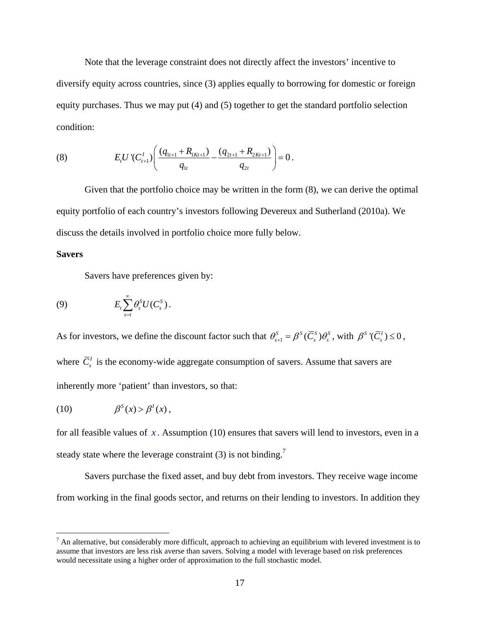Note that the leverage constraint does not directly affect the investors' incentive to diversify equity across countries, since (3) applies equally to borrowing for domestic or foreign equity purchases. Thus we may put (4) and (5) together to get the standard portfolio selection condition:

(8) 
$$
E_t U'(C_{t+1}')\left(\frac{(q_{1t+1}+R_{1Kt+1})}{q_{1t}}-\frac{(q_{2t+1}+R_{2Kt+1})}{q_{2t}}\right)=0.
$$

 Given that the portfolio choice may be written in the form (8), we can derive the optimal equity portfolio of each country's investors following Devereux and Sutherland (2010a). We discuss the details involved in portfolio choice more fully below.

# **Savers**

 $\overline{a}$ 

Savers have preferences given by:

(9) 
$$
E_t \sum_{s=t}^{\infty} \theta_s^s U(C_s^S).
$$

As for investors, we define the discount factor such that  $\theta_{s+1}^S = \beta^S(\overline{C}_s^S)\theta_s^S$ , with  $\beta^S'(\overline{C}_s^I) \leq 0$ , where  $\overline{C}_s^I$  is the economy-wide aggregate consumption of savers. Assume that savers are inherently more 'patient' than investors, so that:

$$
(10) \t\t\t\t\t\betas(x) > \betat(x),
$$

for all feasible values of *x* . Assumption (10) ensures that savers will lend to investors, even in a steady state where the leverage constraint  $(3)$  is not binding.<sup>7</sup>

 Savers purchase the fixed asset, and buy debt from investors. They receive wage income from working in the final goods sector, and returns on their lending to investors. In addition they

 $<sup>7</sup>$  An alternative, but considerably more difficult, approach to achieving an equilibrium with levered investment is to</sup> assume that investors are less risk averse than savers. Solving a model with leverage based on risk preferences would necessitate using a higher order of approximation to the full stochastic model.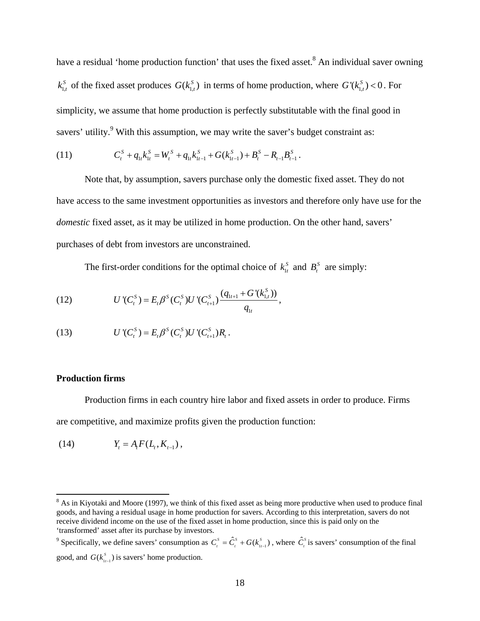have a residual 'home production function' that uses the fixed asset.<sup>8</sup> An individual saver owning 1,  $k_{1,t}^S$  of the fixed asset produces  $G(k_{1,t}^S)$  in terms of home production, where  $G'(k_{1,t}^S) < 0$ . For simplicity, we assume that home production is perfectly substitutable with the final good in savers' utility.<sup>9</sup> With this assumption, we may write the saver's budget constraint as:

(11) 
$$
C_t^s + q_{1t} k_{1t}^s = W_t^s + q_{1t} k_{1t-1}^s + G(k_{1t-1}^s) + B_t^s - R_{t-1} B_{t-1}^s.
$$

Note that, by assumption, savers purchase only the domestic fixed asset. They do not have access to the same investment opportunities as investors and therefore only have use for the *domestic* fixed asset, as it may be utilized in home production. On the other hand, savers' purchases of debt from investors are unconstrained.

The first-order conditions for the optimal choice of  $k_{1t}^S$  and  $B_t^S$  are simply:

(12) 
$$
U'(C_t^S) = E_t \beta^S(C_t^S) U'(C_{t+1}^S) \frac{(q_{1t+1} + G'(k_{1,t}^S))}{q_{1t}},
$$

(13) 
$$
U'(C_t^S) = E_t \beta^S (C_t^S) U'(C_{t+1}^S) R_t.
$$

#### **Production firms**

 Production firms in each country hire labor and fixed assets in order to produce. Firms are competitive, and maximize profits given the production function:

(14) 
$$
Y_t = A_t F(L_t, K_{t-1}),
$$

<sup>&</sup>lt;sup>8</sup> As in Kiyotaki and Moore (1997), we think of this fixed asset as being more productive when used to produce final goods, and having a residual usage in home production for savers. According to this interpretation, savers do not receive dividend income on the use of the fixed asset in home production, since this is paid only on the 'transformed' asset after its purchase by investors.

<sup>&</sup>lt;sup>9</sup> Specifically, we define savers' consumption as  $C_i^s = \hat{C}_i^s + G(k_{i-1}^s)$ , where  $\hat{C}_i^s$  is savers' consumption of the final good, and  $G(k_{1t-1}^s)$  is savers' home production.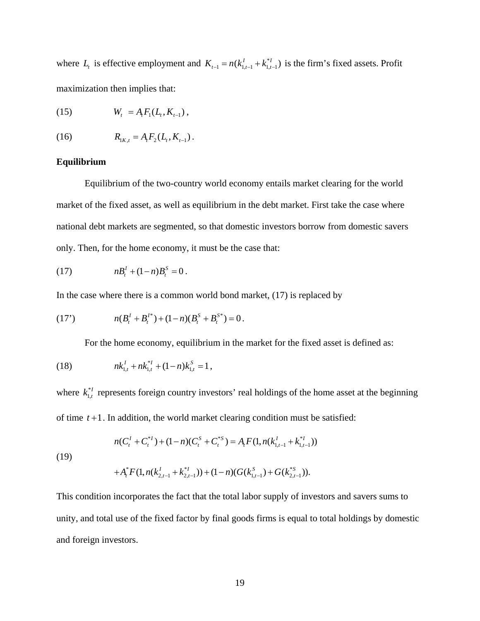where  $L_t$  is effective employment and  $K_{t-1} = n(k_{1,t-1}^t + k_{1,t-1}^{t}^t)$  is the firm's fixed assets. Profit maximization then implies that:

(15) 
$$
W_t = A_t F_1(L_t, K_{t-1}),
$$

(16) 
$$
R_{1K,t} = A_t F_2(L_t, K_{t-1}).
$$

# **Equilibrium**

Equilibrium of the two-country world economy entails market clearing for the world market of the fixed asset, as well as equilibrium in the debt market. First take the case where national debt markets are segmented, so that domestic investors borrow from domestic savers only. Then, for the home economy, it must be the case that:

(17) 
$$
nB_t^I + (1-n)B_t^S = 0.
$$

In the case where there is a common world bond market, (17) is replaced by

(17') 
$$
n(B_t^I + B_t^{I^*}) + (1-n)(B_t^S + B_t^{S^*}) = 0.
$$

For the home economy, equilibrium in the market for the fixed asset is defined as:

(18) 
$$
nk_{1,t}^I + nk_{1,t}^{*I} + (1-n)k_{1,t}^S = 1,
$$

where  $k_{1,}^*$  $k_{1,t}^{*I}$  represents foreign country investors' real holdings of the home asset at the beginning of time  $t+1$ . In addition, the world market clearing condition must be satisfied:

(19) 
$$
n(C_t^I + C_t^{*I}) + (1 - n)(C_t^S + C_t^{*S}) = A_t F(1, n(k_{1,t-1}^I + k_{1,t-1}^{*I}))
$$

$$
+AtsF(1, n(k2,t-1t + k2,t-1s)) + (1-n)(G(k1,t-1s) + G(k2,t-1s)).
$$

This condition incorporates the fact that the total labor supply of investors and savers sums to unity, and total use of the fixed factor by final goods firms is equal to total holdings by domestic and foreign investors.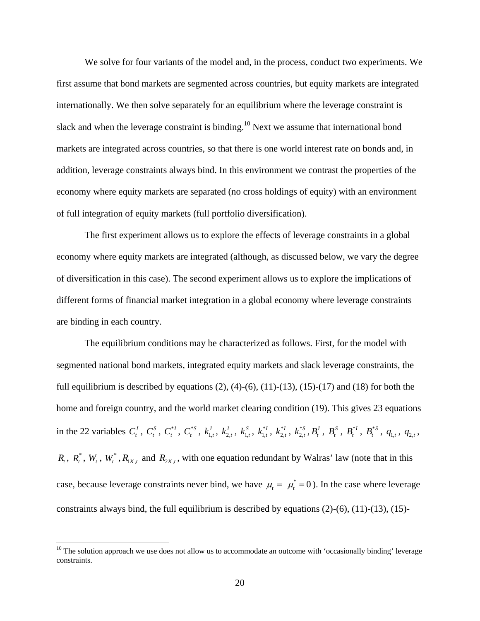We solve for four variants of the model and, in the process, conduct two experiments. We first assume that bond markets are segmented across countries, but equity markets are integrated internationally. We then solve separately for an equilibrium where the leverage constraint is slack and when the leverage constraint is binding.<sup>10</sup> Next we assume that international bond markets are integrated across countries, so that there is one world interest rate on bonds and, in addition, leverage constraints always bind. In this environment we contrast the properties of the economy where equity markets are separated (no cross holdings of equity) with an environment of full integration of equity markets (full portfolio diversification).

The first experiment allows us to explore the effects of leverage constraints in a global economy where equity markets are integrated (although, as discussed below, we vary the degree of diversification in this case). The second experiment allows us to explore the implications of different forms of financial market integration in a global economy where leverage constraints are binding in each country.

The equilibrium conditions may be characterized as follows. First, for the model with segmented national bond markets, integrated equity markets and slack leverage constraints, the full equilibrium is described by equations  $(2)$ ,  $(4)-(6)$ ,  $(11)-(13)$ ,  $(15)-(17)$  and  $(18)$  for both the home and foreign country, and the world market clearing condition (19). This gives 23 equations in the 22 variables  $C_t^I$ ,  $C_t^S$ ,  $C_t^{*I}$ ,  $C_t^{*S}$ ,  $k_{1,t}^I$ ,  $k_{2,t}^I$ ,  $k_{1,t}^S$ ,  $k_{1,t}^*$  $k_{1,t}^{*I}$  ,  $k_{2,t}^{*I}$  $k_{2,t}^{*I}$  ,  $k_{2,}^{*I}$  $k_{2,t}^{*s}$  ,  $B_t^I$  ,  $B_t^S$  ,  $B_t^{*I}$  ,  $B_t^{*S}$  ,  $q_{1,t}$  ,  $q_{2,t}$  ,  $R_t$ ,  $R_t^*$ ,  $W_t$ ,  $W_t^*$ ,  $R_{1K,t}$  and  $R_{2K,t}$ , with one equation redundant by Walras' law (note that in this case, because leverage constraints never bind, we have  $\mu_t = \mu_t^* = 0$ ). In the case where leverage constraints always bind, the full equilibrium is described by equations (2)-(6), (11)-(13), (15)-

 $10$  The solution approach we use does not allow us to accommodate an outcome with 'occasionally binding' leverage constraints.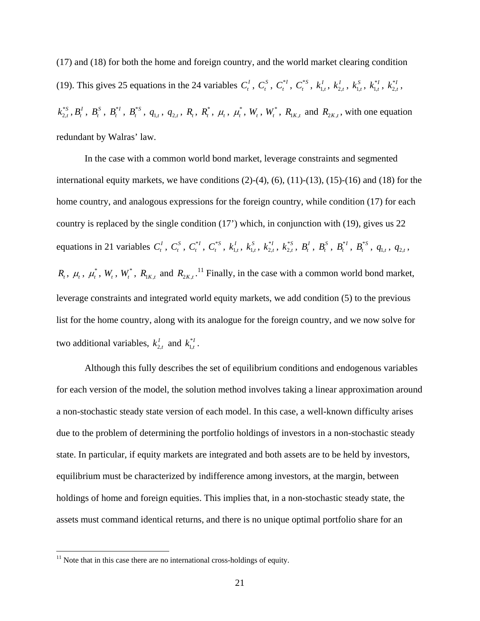(17) and (18) for both the home and foreign country, and the world market clearing condition (19). This gives 25 equations in the 24 variables  $C_t^I$ ,  $C_t^s$ ,  $C_t^{*I}$ ,  $C_t^{*s}$ ,  $k_{1,t}^I$ ,  $k_{2,t}^I$ ,  $k_{1,t}^s$ ,  $k_{1,t}^s$ ,  $k_{1,t}^{*I}$ ,  $k_{2,t}^{*I}$  $k_{2,t}^{*I}$  , \* 2,  $k_{2,t}^{*s}, B_t^I, B_t^s, B_t^{*I}, B_t^{*s}, q_{1,t}, q_{2,t}, R_t, R_t^*, \mu_t, \mu_t^*, W_t, W_t^*, R_{1K,t}$  and  $R_{2K,t}$ , with one equation redundant by Walras' law.

In the case with a common world bond market, leverage constraints and segmented international equity markets, we have conditions  $(2)-(4)$ ,  $(6)$ ,  $(11)-(13)$ ,  $(15)-(16)$  and  $(18)$  for the home country, and analogous expressions for the foreign country, while condition (17) for each country is replaced by the single condition (17') which, in conjunction with (19), gives us 22 equations in 21 variables  $C_t^I$ ,  $C_t^S$ ,  $C_t^{*I}$ ,  $C_t^{*S}$ ,  $k_{1,t}^I$ ,  $k_{1,t}^S$ ,  $k_{2,t}^*$  $k_{2,t}^{*I}$ ,  $k_{2,t}^{*I}$  $k_{2,t}^{*s}$  ,  $B_t^I$  ,  $B_t^s$  ,  $B_t^{*I}$  ,  $B_t^{*s}$  ,  $q_{1,t}$  ,  $q_{2,t}$  ,  $R_t$ ,  $\mu_t$ ,  $\mu_t^*$ ,  $W_t$ ,  $W_t^*$ ,  $R_{1K,t}$  and  $R_{2K,t}$ .<sup>11</sup> Finally, in the case with a common world bond market, leverage constraints and integrated world equity markets, we add condition (5) to the previous list for the home country, along with its analogue for the foreign country, and we now solve for two additional variables,  $k_{2,t}^I$  and  $k_{1,t}^*$  $k_{1,t}^{*I}$  .

Although this fully describes the set of equilibrium conditions and endogenous variables for each version of the model, the solution method involves taking a linear approximation around a non-stochastic steady state version of each model. In this case, a well-known difficulty arises due to the problem of determining the portfolio holdings of investors in a non-stochastic steady state. In particular, if equity markets are integrated and both assets are to be held by investors, equilibrium must be characterized by indifference among investors, at the margin, between holdings of home and foreign equities. This implies that, in a non-stochastic steady state, the assets must command identical returns, and there is no unique optimal portfolio share for an

 $11$  Note that in this case there are no international cross-holdings of equity.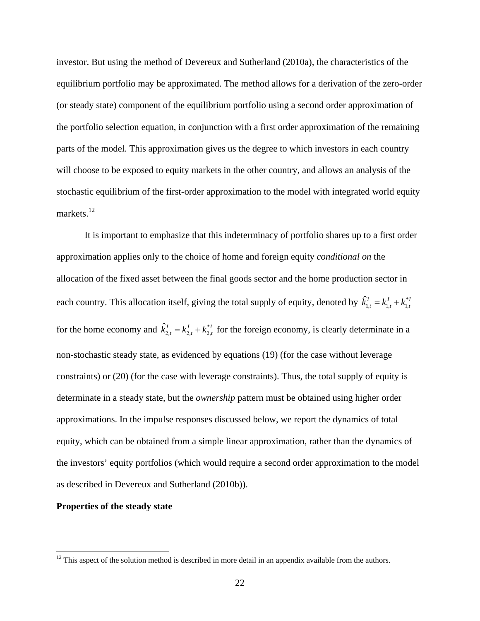investor. But using the method of Devereux and Sutherland (2010a), the characteristics of the equilibrium portfolio may be approximated. The method allows for a derivation of the zero-order (or steady state) component of the equilibrium portfolio using a second order approximation of the portfolio selection equation, in conjunction with a first order approximation of the remaining parts of the model. This approximation gives us the degree to which investors in each country will choose to be exposed to equity markets in the other country, and allows an analysis of the stochastic equilibrium of the first-order approximation to the model with integrated world equity markets.<sup>12</sup>

It is important to emphasize that this indeterminacy of portfolio shares up to a first order approximation applies only to the choice of home and foreign equity *conditional on* the allocation of the fixed asset between the final goods sector and the home production sector in each country. This allocation itself, giving the total supply of equity, denoted by  $\hat{k}_{1,t}^I = k_{1,t}^I + k_{1,t}^{*t}$ for the home economy and  $\hat{k}_{2,t}^I = k_{2,t}^I + k_{2,t}^{*I}$  for the foreign economy, is clearly determinate in a non-stochastic steady state, as evidenced by equations (19) (for the case without leverage constraints) or (20) (for the case with leverage constraints). Thus, the total supply of equity is determinate in a steady state, but the *ownership* pattern must be obtained using higher order approximations. In the impulse responses discussed below, we report the dynamics of total equity, which can be obtained from a simple linear approximation, rather than the dynamics of the investors' equity portfolios (which would require a second order approximation to the model as described in Devereux and Sutherland (2010b)).

#### **Properties of the steady state**

 $12$  This aspect of the solution method is described in more detail in an appendix available from the authors.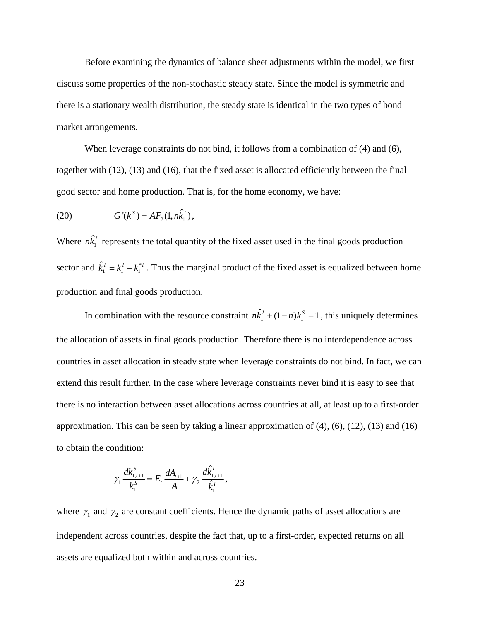Before examining the dynamics of balance sheet adjustments within the model, we first discuss some properties of the non-stochastic steady state. Since the model is symmetric and there is a stationary wealth distribution, the steady state is identical in the two types of bond market arrangements.

When leverage constraints do not bind, it follows from a combination of (4) and (6), together with (12), (13) and (16), that the fixed asset is allocated efficiently between the final good sector and home production. That is, for the home economy, we have:

(20) 
$$
G'(k_1^S) = AF_2(1, n\hat{k}_1^I),
$$

Where  $n\hat{k}_1^{\dagger}$  represents the total quantity of the fixed asset used in the final goods production sector and  $\hat{k}_1^I = k_1^I + k_1^{*I}$ . Thus the marginal product of the fixed asset is equalized between home production and final goods production.

In combination with the resource constraint  $n\hat{k}_1^1 + (1-n)k_1^s = 1$ , this uniquely determines the allocation of assets in final goods production. Therefore there is no interdependence across countries in asset allocation in steady state when leverage constraints do not bind. In fact, we can extend this result further. In the case where leverage constraints never bind it is easy to see that there is no interaction between asset allocations across countries at all, at least up to a first-order approximation. This can be seen by taking a linear approximation of (4), (6), (12), (13) and (16) to obtain the condition:

$$
\gamma_1 \frac{dk_{1,t+1}^S}{k_1^S} = E_t \frac{dA_{t+1}}{A} + \gamma_2 \frac{d\hat{k}_{1,t+1}^I}{\hat{k}_1^I},
$$

where  $\gamma_1$  and  $\gamma_2$  are constant coefficients. Hence the dynamic paths of asset allocations are independent across countries, despite the fact that, up to a first-order, expected returns on all assets are equalized both within and across countries.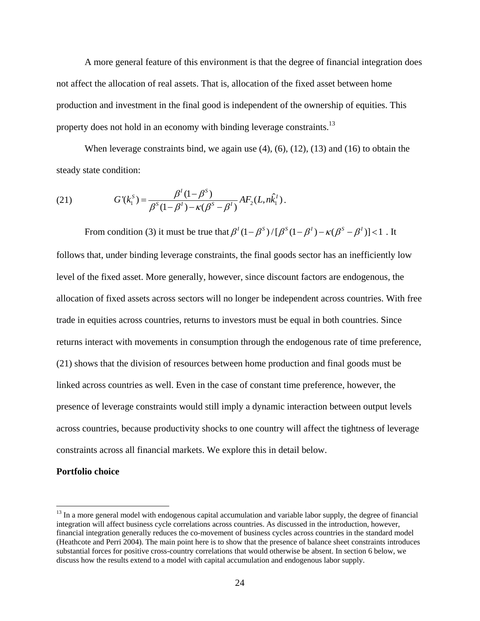A more general feature of this environment is that the degree of financial integration does not affect the allocation of real assets. That is, allocation of the fixed asset between home production and investment in the final good is independent of the ownership of equities. This property does not hold in an economy with binding leverage constraints.<sup>13</sup>

When leverage constraints bind, we again use  $(4)$ ,  $(6)$ ,  $(12)$ ,  $(13)$  and  $(16)$  to obtain the steady state condition:

(21) 
$$
G'(k_1^S) = \frac{\beta^I (1 - \beta^S)}{\beta^S (1 - \beta^I) - \kappa (\beta^S - \beta^I)} AF_2(L, n\hat{k}_1^I).
$$

From condition (3) it must be true that  $\beta^I(1 - \beta^S)/[\beta^S(1 - \beta^I) - \kappa(\beta^S - \beta^I)] < 1$ . It follows that, under binding leverage constraints, the final goods sector has an inefficiently low level of the fixed asset. More generally, however, since discount factors are endogenous, the allocation of fixed assets across sectors will no longer be independent across countries. With free trade in equities across countries, returns to investors must be equal in both countries. Since returns interact with movements in consumption through the endogenous rate of time preference, (21) shows that the division of resources between home production and final goods must be linked across countries as well. Even in the case of constant time preference, however, the presence of leverage constraints would still imply a dynamic interaction between output levels across countries, because productivity shocks to one country will affect the tightness of leverage constraints across all financial markets. We explore this in detail below.

# **Portfolio choice**

<sup>&</sup>lt;sup>13</sup> In a more general model with endogenous capital accumulation and variable labor supply, the degree of financial integration will affect business cycle correlations across countries. As discussed in the introduction, however, financial integration generally reduces the co-movement of business cycles across countries in the standard model (Heathcote and Perri 2004). The main point here is to show that the presence of balance sheet constraints introduces substantial forces for positive cross-country correlations that would otherwise be absent. In section 6 below, we discuss how the results extend to a model with capital accumulation and endogenous labor supply.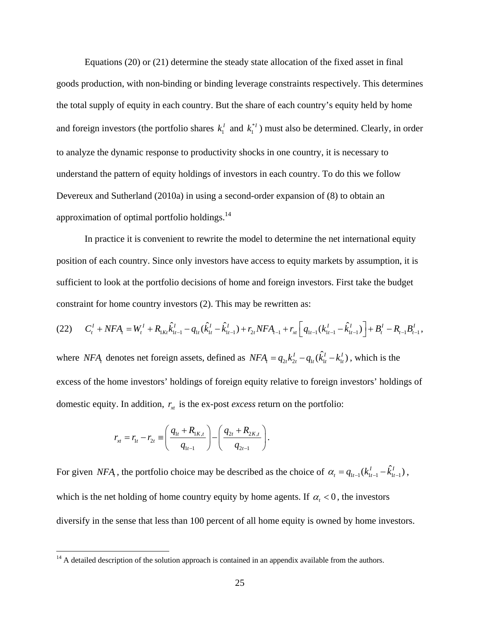Equations (20) or (21) determine the steady state allocation of the fixed asset in final goods production, with non-binding or binding leverage constraints respectively. This determines the total supply of equity in each country. But the share of each country's equity held by home and foreign investors (the portfolio shares  $k_1^I$  and  $k_1^{*I}$ ) must also be determined. Clearly, in order to analyze the dynamic response to productivity shocks in one country, it is necessary to understand the pattern of equity holdings of investors in each country. To do this we follow Devereux and Sutherland (2010a) in using a second-order expansion of (8) to obtain an approximation of optimal portfolio holdings. $^{14}$ 

In practice it is convenient to rewrite the model to determine the net international equity position of each country. Since only investors have access to equity markets by assumption, it is sufficient to look at the portfolio decisions of home and foreign investors. First take the budget constraint for home country investors (2). This may be rewritten as:

(22) 
$$
C_t^l + NFA_t = W_t^l + R_{1kt} \hat{k}_{1t-1}^l - q_{1t} (\hat{k}_{1t}^l - \hat{k}_{1t-1}^l) + r_{2t} NFA_{t-1} + r_{xt} \left[ q_{1t-1} (k_{1t-1}^l - \hat{k}_{1t-1}^l) \right] + B_t^l - R_{t-1} B_{t-1}^l
$$
,  
where *NFA*<sub>t</sub> denotes net foreign assets, defined as *NFA*<sub>t</sub> =  $q_{2t} k_{2t}^l - q_{1t} (\hat{k}_{1t}^l - k_{1t}^l)$ , which is the  
excess of the home investors' holdings of foreign equity relative to foreign investors' holdings of  
domestic equity. In addition,  $r_{xt}$  is the ex-post excess return on the portfolio:

$$
r_{xt} = r_{1t} - r_{2t} \equiv \left(\frac{q_{1t} + R_{1K,t}}{q_{1t-1}}\right) - \left(\frac{q_{2t} + R_{2K,t}}{q_{2t-1}}\right).
$$

 $\overline{a}$ 

For given *NFA*, the portfolio choice may be described as the choice of  $\alpha_t = q_{t-1} (k_{t-1}^I - \hat{k}_{t-1}^I)$ , which is the net holding of home country equity by home agents. If  $\alpha_t < 0$ , the investors diversify in the sense that less than 100 percent of all home equity is owned by home investors.

 $14$  A detailed description of the solution approach is contained in an appendix available from the authors.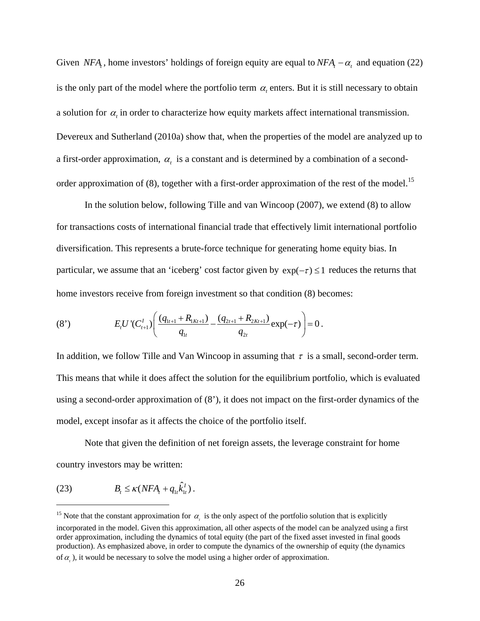Given *NFA*, home investors' holdings of foreign equity are equal to *NFA*,  $-\alpha$ , and equation (22) is the only part of the model where the portfolio term  $\alpha$ , enters. But it is still necessary to obtain a solution for  $\alpha$ , in order to characterize how equity markets affect international transmission. Devereux and Sutherland (2010a) show that, when the properties of the model are analyzed up to a first-order approximation,  $\alpha$ , is a constant and is determined by a combination of a secondorder approximation of  $(8)$ , together with a first-order approximation of the rest of the model.<sup>15</sup>

In the solution below, following Tille and van Wincoop (2007), we extend (8) to allow for transactions costs of international financial trade that effectively limit international portfolio diversification. This represents a brute-force technique for generating home equity bias. In particular, we assume that an 'iceberg' cost factor given by  $exp(-\tau) \le 1$  reduces the returns that home investors receive from foreign investment so that condition (8) becomes:

(8') 
$$
E_t U'(C_{t+1}^I) \left( \frac{(q_{1t+1} + R_{1Kt+1})}{q_{1t}} - \frac{(q_{2t+1} + R_{2Kt+1})}{q_{2t}} \exp(-\tau) \right) = 0.
$$

In addition, we follow Tille and Van Wincoop in assuming that  $\tau$  is a small, second-order term. This means that while it does affect the solution for the equilibrium portfolio, which is evaluated using a second-order approximation of (8'), it does not impact on the first-order dynamics of the model, except insofar as it affects the choice of the portfolio itself.

 Note that given the definition of net foreign assets, the leverage constraint for home country investors may be written:

$$
(23) \t Bt \le \kappa(NFAt + q1t \hat{k}1tt).
$$

<sup>&</sup>lt;sup>15</sup> Note that the constant approximation for  $\alpha$ , is the only aspect of the portfolio solution that is explicitly incorporated in the model. Given this approximation, all other aspects of the model can be analyzed using a first order approximation, including the dynamics of total equity (the part of the fixed asset invested in final goods production). As emphasized above, in order to compute the dynamics of the ownership of equity (the dynamics of  $\alpha$ ), it would be necessary to solve the model using a higher order of approximation.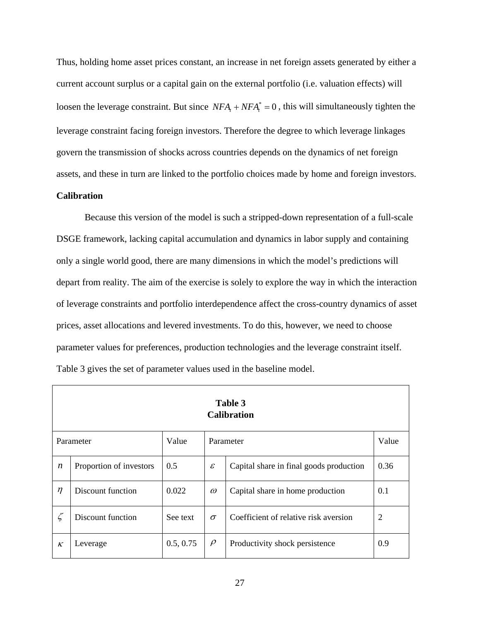Thus, holding home asset prices constant, an increase in net foreign assets generated by either a current account surplus or a capital gain on the external portfolio (i.e. valuation effects) will loosen the leverage constraint. But since  $NFA_t + NFA_t^* = 0$ , this will simultaneously tighten the leverage constraint facing foreign investors. Therefore the degree to which leverage linkages govern the transmission of shocks across countries depends on the dynamics of net foreign assets, and these in turn are linked to the portfolio choices made by home and foreign investors.

# **Calibration**

 Because this version of the model is such a stripped-down representation of a full-scale DSGE framework, lacking capital accumulation and dynamics in labor supply and containing only a single world good, there are many dimensions in which the model's predictions will depart from reality. The aim of the exercise is solely to explore the way in which the interaction of leverage constraints and portfolio interdependence affect the cross-country dynamics of asset prices, asset allocations and levered investments. To do this, however, we need to choose parameter values for preferences, production technologies and the leverage constraint itself. Table 3 gives the set of parameter values used in the baseline model.

| Table 3<br><b>Calibration</b> |                         |           |               |                                         |                |  |  |  |
|-------------------------------|-------------------------|-----------|---------------|-----------------------------------------|----------------|--|--|--|
|                               | Parameter               | Value     | Parameter     |                                         | Value          |  |  |  |
| $\boldsymbol{n}$              | Proportion of investors | 0.5       | $\mathcal{E}$ | Capital share in final goods production | 0.36           |  |  |  |
| $\eta$                        | Discount function       | 0.022     | $\omega$      | Capital share in home production        | 0.1            |  |  |  |
| $\zeta$                       | Discount function       | See text  | $\sigma$      | Coefficient of relative risk aversion   | $\overline{2}$ |  |  |  |
| $\kappa$                      | Leverage                | 0.5, 0.75 | $\rho$        | Productivity shock persistence          | 0.9            |  |  |  |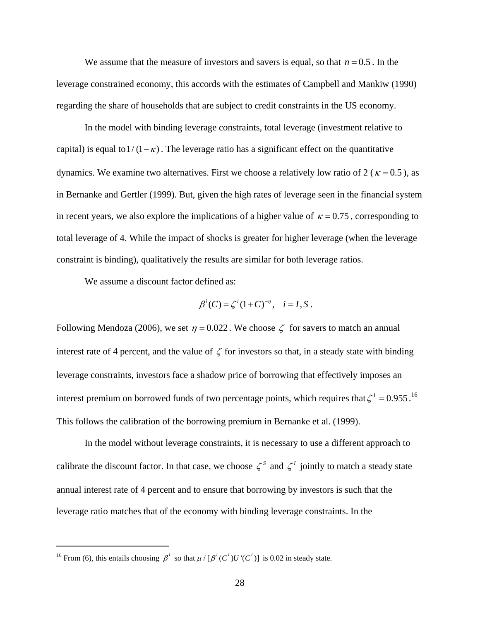We assume that the measure of investors and savers is equal, so that  $n = 0.5$ . In the leverage constrained economy, this accords with the estimates of Campbell and Mankiw (1990) regarding the share of households that are subject to credit constraints in the US economy.

In the model with binding leverage constraints, total leverage (investment relative to capital) is equal to  $1/(1 - \kappa)$ . The leverage ratio has a significant effect on the quantitative dynamics. We examine two alternatives. First we choose a relatively low ratio of 2 ( $\kappa$  = 0.5), as in Bernanke and Gertler (1999). But, given the high rates of leverage seen in the financial system in recent years, we also explore the implications of a higher value of  $\kappa = 0.75$ , corresponding to total leverage of 4. While the impact of shocks is greater for higher leverage (when the leverage constraint is binding), qualitatively the results are similar for both leverage ratios.

We assume a discount factor defined as:

$$
\beta^i(C) = \zeta^i (1+C)^{-\eta}, \quad i = I, S.
$$

Following Mendoza (2006), we set  $\eta = 0.022$ . We choose  $\zeta$  for savers to match an annual interest rate of 4 percent, and the value of  $\zeta$  for investors so that, in a steady state with binding leverage constraints, investors face a shadow price of borrowing that effectively imposes an interest premium on borrowed funds of two percentage points, which requires that  $\zeta^1 = 0.955$ .<sup>16</sup> This follows the calibration of the borrowing premium in Bernanke et al. (1999).

In the model without leverage constraints, it is necessary to use a different approach to calibrate the discount factor. In that case, we choose  $\zeta^s$  and  $\zeta^l$  jointly to match a steady state annual interest rate of 4 percent and to ensure that borrowing by investors is such that the leverage ratio matches that of the economy with binding leverage constraints. In the

<sup>&</sup>lt;sup>16</sup> From (6), this entails choosing  $\beta'$  so that  $\mu / [\beta'(C')U'(C')]$  is 0.02 in steady state.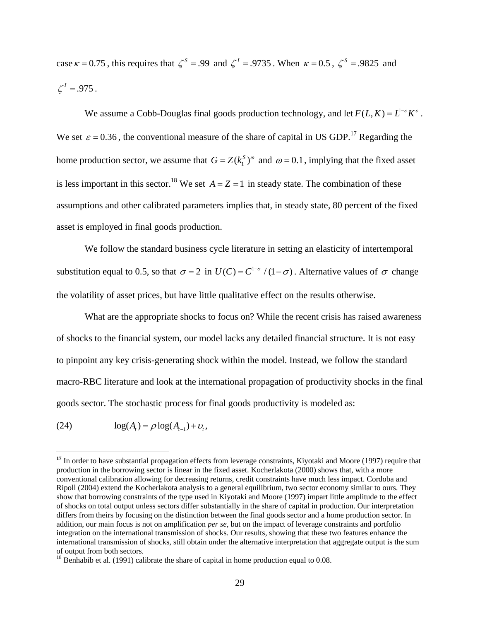case  $\kappa = 0.75$ , this requires that  $\zeta^s = .99$  and  $\zeta^l = .9735$ . When  $\kappa = 0.5$ ,  $\zeta^s = .9825$  and  $\zeta^I = .975$ .

We assume a Cobb-Douglas final goods production technology, and let  $F(L, K) = L^{1-\epsilon} K^{\epsilon}$ . We set  $\varepsilon = 0.36$ , the conventional measure of the share of capital in US GDP.<sup>17</sup> Regarding the home production sector, we assume that  $G = Z(k_1^S)^\omega$  and  $\omega = 0.1$ , implying that the fixed asset is less important in this sector.<sup>18</sup> We set  $A = Z = 1$  in steady state. The combination of these assumptions and other calibrated parameters implies that, in steady state, 80 percent of the fixed asset is employed in final goods production.

We follow the standard business cycle literature in setting an elasticity of intertemporal substitution equal to 0.5, so that  $\sigma = 2$  in  $U(C) = C^{1-\sigma}/(1-\sigma)$ . Alternative values of  $\sigma$  change the volatility of asset prices, but have little qualitative effect on the results otherwise.

What are the appropriate shocks to focus on? While the recent crisis has raised awareness of shocks to the financial system, our model lacks any detailed financial structure. It is not easy to pinpoint any key crisis-generating shock within the model. Instead, we follow the standard macro-RBC literature and look at the international propagation of productivity shocks in the final goods sector. The stochastic process for final goods productivity is modeled as:

(24)  $\log(A_i) = \rho \log(A_{i-1}) + \nu_i$ ,

<sup>&</sup>lt;sup>17</sup> In order to have substantial propagation effects from leverage constraints, Kiyotaki and Moore (1997) require that production in the borrowing sector is linear in the fixed asset. Kocherlakota (2000) shows that, with a more conventional calibration allowing for decreasing returns, credit constraints have much less impact. Cordoba and Ripoll (2004) extend the Kocherlakota analysis to a general equilibrium, two sector economy similar to ours. They show that borrowing constraints of the type used in Kiyotaki and Moore (1997) impart little amplitude to the effect of shocks on total output unless sectors differ substantially in the share of capital in production. Our interpretation differs from theirs by focusing on the distinction between the final goods sector and a home production sector. In addition, our main focus is not on amplification *per se*, but on the impact of leverage constraints and portfolio integration on the international transmission of shocks. Our results, showing that these two features enhance the international transmission of shocks, still obtain under the alternative interpretation that aggregate output is the sum of output from both sectors.

<sup>&</sup>lt;sup>18</sup> Benhabib et al. (1991) calibrate the share of capital in home production equal to 0.08.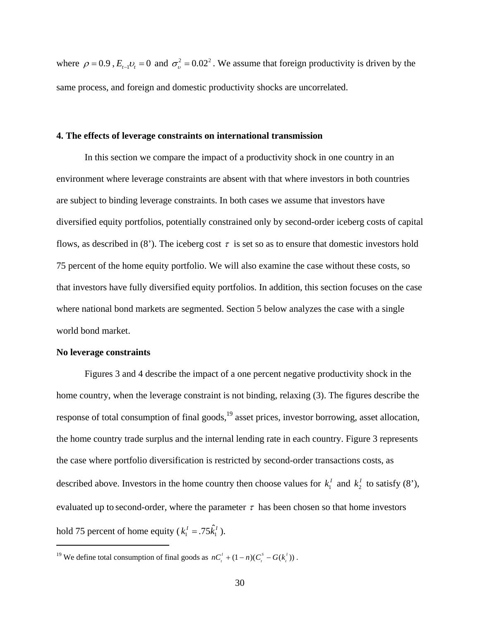where  $\rho = 0.9$ ,  $E_{t-1}v_t = 0$  and  $\sigma_v^2 = 0.02^2$ . We assume that foreign productivity is driven by the same process, and foreign and domestic productivity shocks are uncorrelated.

#### **4. The effects of leverage constraints on international transmission**

In this section we compare the impact of a productivity shock in one country in an environment where leverage constraints are absent with that where investors in both countries are subject to binding leverage constraints. In both cases we assume that investors have diversified equity portfolios, potentially constrained only by second-order iceberg costs of capital flows, as described in (8'). The iceberg cost  $\tau$  is set so as to ensure that domestic investors hold 75 percent of the home equity portfolio. We will also examine the case without these costs, so that investors have fully diversified equity portfolios. In addition, this section focuses on the case where national bond markets are segmented. Section 5 below analyzes the case with a single world bond market.

#### **No leverage constraints**

 $\overline{a}$ 

Figures 3 and 4 describe the impact of a one percent negative productivity shock in the home country, when the leverage constraint is not binding, relaxing (3). The figures describe the response of total consumption of final goods,<sup>19</sup> asset prices, investor borrowing, asset allocation, the home country trade surplus and the internal lending rate in each country. Figure 3 represents the case where portfolio diversification is restricted by second-order transactions costs, as described above. Investors in the home country then choose values for  $k_1^I$  and  $k_2^I$  to satisfy (8'), evaluated up to second-order, where the parameter  $\tau$  has been chosen so that home investors hold 75 percent of home equity ( $k_1^I = .75 \hat{k}_1^I$ ).

<sup>&</sup>lt;sup>19</sup> We define total consumption of final goods as  $nC_t^T + (1 - n)(C_t^S - G(k_t^T))$ .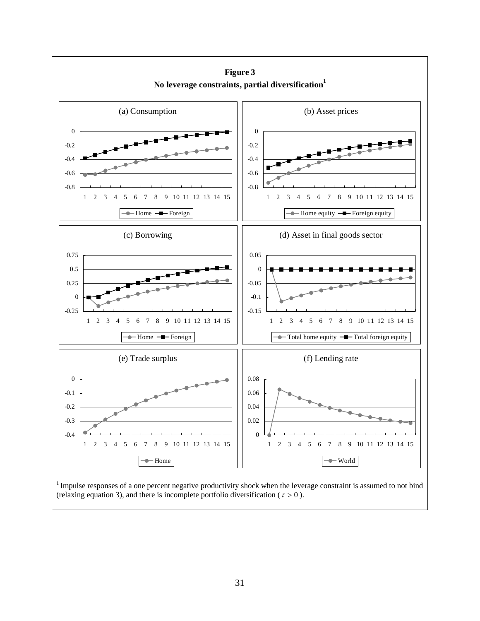

<sup>1</sup> Impulse responses of a one percent negative productivity shock when the leverage constraint is assumed to not bind (relaxing equation 3), and there is incomplete portfolio diversification ( $\tau > 0$ ).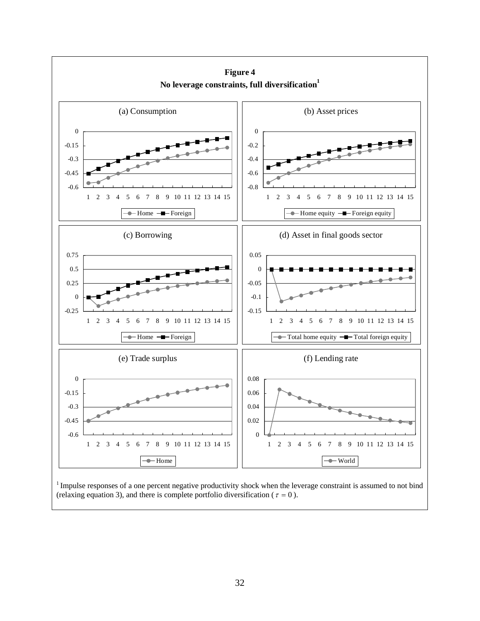

<sup>1</sup> Impulse responses of a one percent negative productivity shock when the leverage constraint is assumed to not bind (relaxing equation 3), and there is complete portfolio diversification ( $\tau = 0$ ).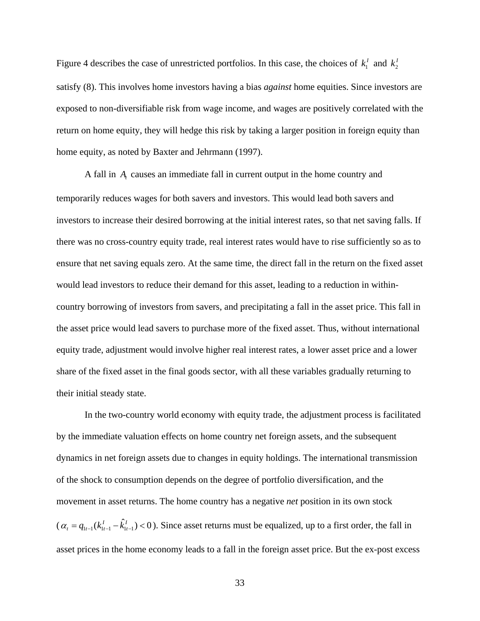Figure 4 describes the case of unrestricted portfolios. In this case, the choices of  $k_1^I$  and  $k_2^I$ satisfy (8). This involves home investors having a bias *against* home equities. Since investors are exposed to non-diversifiable risk from wage income, and wages are positively correlated with the return on home equity, they will hedge this risk by taking a larger position in foreign equity than home equity, as noted by Baxter and Jehrmann (1997).

A fall in *At* causes an immediate fall in current output in the home country and temporarily reduces wages for both savers and investors. This would lead both savers and investors to increase their desired borrowing at the initial interest rates, so that net saving falls. If there was no cross-country equity trade, real interest rates would have to rise sufficiently so as to ensure that net saving equals zero. At the same time, the direct fall in the return on the fixed asset would lead investors to reduce their demand for this asset, leading to a reduction in withincountry borrowing of investors from savers, and precipitating a fall in the asset price. This fall in the asset price would lead savers to purchase more of the fixed asset. Thus, without international equity trade, adjustment would involve higher real interest rates, a lower asset price and a lower share of the fixed asset in the final goods sector, with all these variables gradually returning to their initial steady state.

 In the two-country world economy with equity trade, the adjustment process is facilitated by the immediate valuation effects on home country net foreign assets, and the subsequent dynamics in net foreign assets due to changes in equity holdings. The international transmission of the shock to consumption depends on the degree of portfolio diversification, and the movement in asset returns. The home country has a negative *net* position in its own stock  $(\alpha_t = q_{1t-1}(k_{1t-1}^t - \hat{k}_{1t-1}^t) < 0)$ . Since asset returns must be equalized, up to a first order, the fall in asset prices in the home economy leads to a fall in the foreign asset price. But the ex-post excess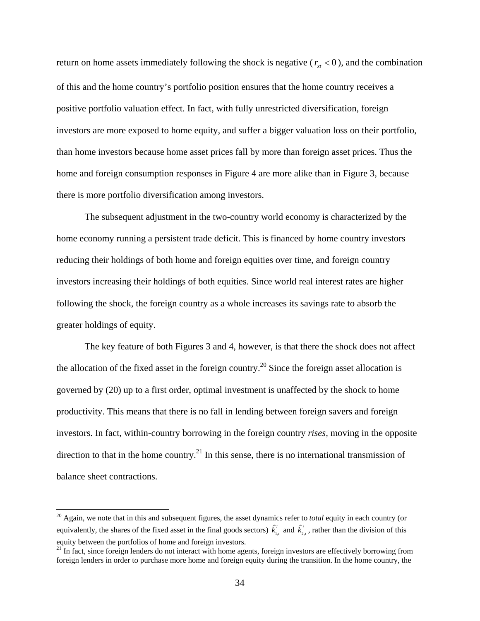return on home assets immediately following the shock is negative ( $r_{\rm r}$  < 0), and the combination of this and the home country's portfolio position ensures that the home country receives a positive portfolio valuation effect. In fact, with fully unrestricted diversification, foreign investors are more exposed to home equity, and suffer a bigger valuation loss on their portfolio, than home investors because home asset prices fall by more than foreign asset prices. Thus the home and foreign consumption responses in Figure 4 are more alike than in Figure 3, because there is more portfolio diversification among investors.

The subsequent adjustment in the two-country world economy is characterized by the home economy running a persistent trade deficit. This is financed by home country investors reducing their holdings of both home and foreign equities over time, and foreign country investors increasing their holdings of both equities. Since world real interest rates are higher following the shock, the foreign country as a whole increases its savings rate to absorb the greater holdings of equity.

The key feature of both Figures 3 and 4, however, is that there the shock does not affect the allocation of the fixed asset in the foreign country.<sup>20</sup> Since the foreign asset allocation is governed by (20) up to a first order, optimal investment is unaffected by the shock to home productivity. This means that there is no fall in lending between foreign savers and foreign investors. In fact, within-country borrowing in the foreign country *rises,* moving in the opposite direction to that in the home country.<sup>21</sup> In this sense, there is no international transmission of balance sheet contractions.

<sup>20</sup> Again, we note that in this and subsequent figures, the asset dynamics refer to *total* equity in each country (or equivalently, the shares of the fixed asset in the final goods sectors)  $\hat{k}_{1,t}^I$  and  $\hat{k}_{2,t}^I$ , rather than the division of this equity between the portfolios of home and foreign investors.

 $21$  In fact, since foreign lenders do not interact with home agents, foreign investors are effectively borrowing from foreign lenders in order to purchase more home and foreign equity during the transition. In the home country, the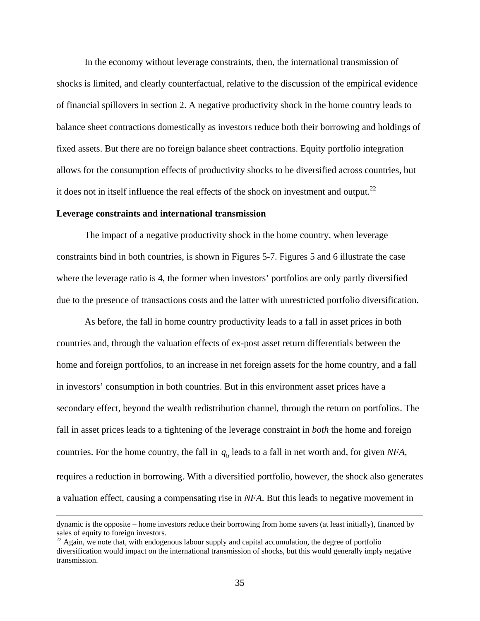In the economy without leverage constraints, then, the international transmission of shocks is limited, and clearly counterfactual, relative to the discussion of the empirical evidence of financial spillovers in section 2. A negative productivity shock in the home country leads to balance sheet contractions domestically as investors reduce both their borrowing and holdings of fixed assets. But there are no foreign balance sheet contractions. Equity portfolio integration allows for the consumption effects of productivity shocks to be diversified across countries, but it does not in itself influence the real effects of the shock on investment and output. $^{22}$ 

#### **Leverage constraints and international transmission**

1

 The impact of a negative productivity shock in the home country, when leverage constraints bind in both countries, is shown in Figures 5-7. Figures 5 and 6 illustrate the case where the leverage ratio is 4, the former when investors' portfolios are only partly diversified due to the presence of transactions costs and the latter with unrestricted portfolio diversification.

 As before, the fall in home country productivity leads to a fall in asset prices in both countries and, through the valuation effects of ex-post asset return differentials between the home and foreign portfolios, to an increase in net foreign assets for the home country, and a fall in investors' consumption in both countries. But in this environment asset prices have a secondary effect, beyond the wealth redistribution channel, through the return on portfolios. The fall in asset prices leads to a tightening of the leverage constraint in *both* the home and foreign countries. For the home country, the fall in  $q_{1t}$  leads to a fall in net worth and, for given *NFA*, requires a reduction in borrowing. With a diversified portfolio, however, the shock also generates a valuation effect, causing a compensating rise in *NFA*. But this leads to negative movement in

dynamic is the opposite – home investors reduce their borrowing from home savers (at least initially), financed by sales of equity to foreign investors.<br><sup>22</sup> Again, we note that, with endogenous labour supply and capital accumulation, the degree of portfolio

diversification would impact on the international transmission of shocks, but this would generally imply negative transmission.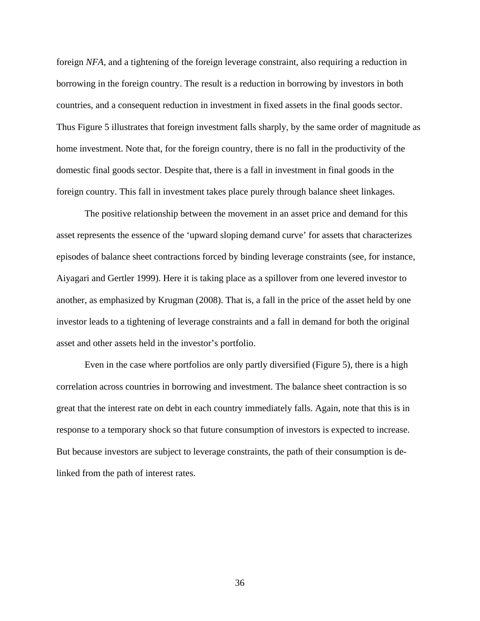foreign *NFA*, and a tightening of the foreign leverage constraint, also requiring a reduction in borrowing in the foreign country. The result is a reduction in borrowing by investors in both countries, and a consequent reduction in investment in fixed assets in the final goods sector. Thus Figure 5 illustrates that foreign investment falls sharply, by the same order of magnitude as home investment. Note that, for the foreign country, there is no fall in the productivity of the domestic final goods sector. Despite that, there is a fall in investment in final goods in the foreign country. This fall in investment takes place purely through balance sheet linkages.

The positive relationship between the movement in an asset price and demand for this asset represents the essence of the 'upward sloping demand curve' for assets that characterizes episodes of balance sheet contractions forced by binding leverage constraints (see, for instance, Aiyagari and Gertler 1999). Here it is taking place as a spillover from one levered investor to another, as emphasized by Krugman (2008). That is, a fall in the price of the asset held by one investor leads to a tightening of leverage constraints and a fall in demand for both the original asset and other assets held in the investor's portfolio.

Even in the case where portfolios are only partly diversified (Figure 5), there is a high correlation across countries in borrowing and investment. The balance sheet contraction is so great that the interest rate on debt in each country immediately falls. Again, note that this is in response to a temporary shock so that future consumption of investors is expected to increase. But because investors are subject to leverage constraints, the path of their consumption is delinked from the path of interest rates.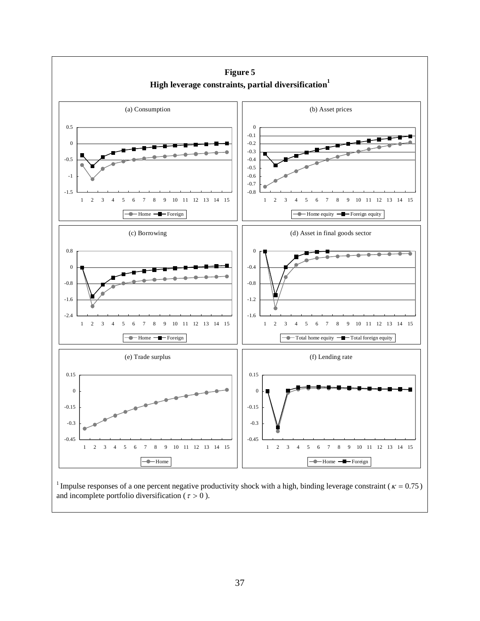

<sup>1</sup> Impulse responses of a one percent negative productivity shock with a high, binding leverage constraint ( $\kappa = 0.75$ ) and incomplete portfolio diversification ( $\tau > 0$ ).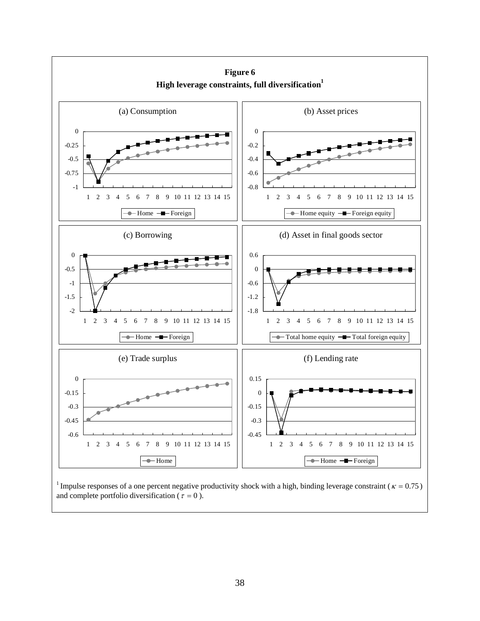

<sup>1</sup> Impulse responses of a one percent negative productivity shock with a high, binding leverage constraint ( $\kappa$  = 0.75) and complete portfolio diversification ( $\tau = 0$ ).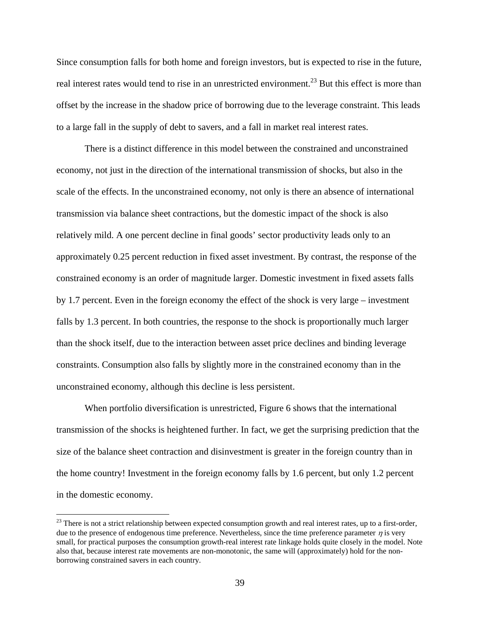Since consumption falls for both home and foreign investors, but is expected to rise in the future, real interest rates would tend to rise in an unrestricted environment.<sup>23</sup> But this effect is more than offset by the increase in the shadow price of borrowing due to the leverage constraint. This leads to a large fall in the supply of debt to savers, and a fall in market real interest rates.

 There is a distinct difference in this model between the constrained and unconstrained economy, not just in the direction of the international transmission of shocks, but also in the scale of the effects. In the unconstrained economy, not only is there an absence of international transmission via balance sheet contractions, but the domestic impact of the shock is also relatively mild. A one percent decline in final goods' sector productivity leads only to an approximately 0.25 percent reduction in fixed asset investment. By contrast, the response of the constrained economy is an order of magnitude larger. Domestic investment in fixed assets falls by 1.7 percent. Even in the foreign economy the effect of the shock is very large – investment falls by 1.3 percent. In both countries, the response to the shock is proportionally much larger than the shock itself, due to the interaction between asset price declines and binding leverage constraints. Consumption also falls by slightly more in the constrained economy than in the unconstrained economy, although this decline is less persistent.

 When portfolio diversification is unrestricted, Figure 6 shows that the international transmission of the shocks is heightened further. In fact, we get the surprising prediction that the size of the balance sheet contraction and disinvestment is greater in the foreign country than in the home country! Investment in the foreign economy falls by 1.6 percent, but only 1.2 percent in the domestic economy.

<sup>&</sup>lt;sup>23</sup> There is not a strict relationship between expected consumption growth and real interest rates, up to a first-order, due to the presence of endogenous time preference. Nevertheless, since the time preference parameter  $\eta$  is very small, for practical purposes the consumption growth-real interest rate linkage holds quite closely in the model. Note also that, because interest rate movements are non-monotonic, the same will (approximately) hold for the nonborrowing constrained savers in each country.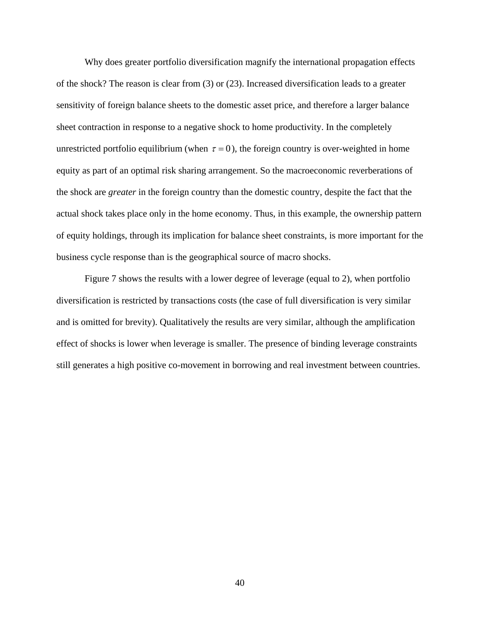Why does greater portfolio diversification magnify the international propagation effects of the shock? The reason is clear from (3) or (23). Increased diversification leads to a greater sensitivity of foreign balance sheets to the domestic asset price, and therefore a larger balance sheet contraction in response to a negative shock to home productivity. In the completely unrestricted portfolio equilibrium (when  $\tau = 0$ ), the foreign country is over-weighted in home equity as part of an optimal risk sharing arrangement. So the macroeconomic reverberations of the shock are *greater* in the foreign country than the domestic country, despite the fact that the actual shock takes place only in the home economy. Thus, in this example, the ownership pattern of equity holdings, through its implication for balance sheet constraints, is more important for the business cycle response than is the geographical source of macro shocks.

Figure 7 shows the results with a lower degree of leverage (equal to 2), when portfolio diversification is restricted by transactions costs (the case of full diversification is very similar and is omitted for brevity). Qualitatively the results are very similar, although the amplification effect of shocks is lower when leverage is smaller. The presence of binding leverage constraints still generates a high positive co-movement in borrowing and real investment between countries.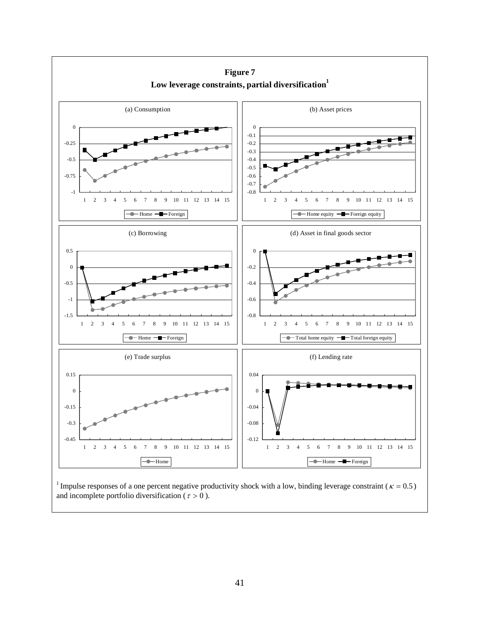

<sup>1</sup> Impulse responses of a one percent negative productivity shock with a low, binding leverage constraint ( $\kappa = 0.5$ ) and incomplete portfolio diversification ( $\tau > 0$ ).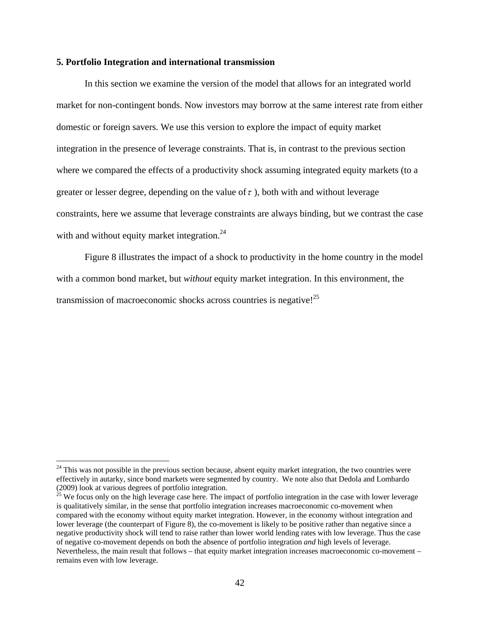#### **5. Portfolio Integration and international transmission**

In this section we examine the version of the model that allows for an integrated world market for non-contingent bonds. Now investors may borrow at the same interest rate from either domestic or foreign savers. We use this version to explore the impact of equity market integration in the presence of leverage constraints. That is, in contrast to the previous section where we compared the effects of a productivity shock assuming integrated equity markets (to a greater or lesser degree, depending on the value of  $\tau$ ), both with and without leverage constraints, here we assume that leverage constraints are always binding, but we contrast the case with and without equity market integration.<sup>24</sup>

Figure 8 illustrates the impact of a shock to productivity in the home country in the model with a common bond market, but *without* equity market integration. In this environment, the transmission of macroeconomic shocks across countries is negative! $^{25}$ 

 $24$  This was not possible in the previous section because, absent equity market integration, the two countries were effectively in autarky, since bond markets were segmented by country. We note also that Dedola and Lombardo (2009) look at various degrees of portfolio integration.

 $25$  We focus only on the high leverage case here. The impact of portfolio integration in the case with lower leverage is qualitatively similar, in the sense that portfolio integration increases macroeconomic co-movement when compared with the economy without equity market integration. However, in the economy without integration and lower leverage (the counterpart of Figure 8), the co-movement is likely to be positive rather than negative since a negative productivity shock will tend to raise rather than lower world lending rates with low leverage. Thus the case of negative co-movement depends on both the absence of portfolio integration *and* high levels of leverage. Nevertheless, the main result that follows – that equity market integration increases macroeconomic co-movement – remains even with low leverage.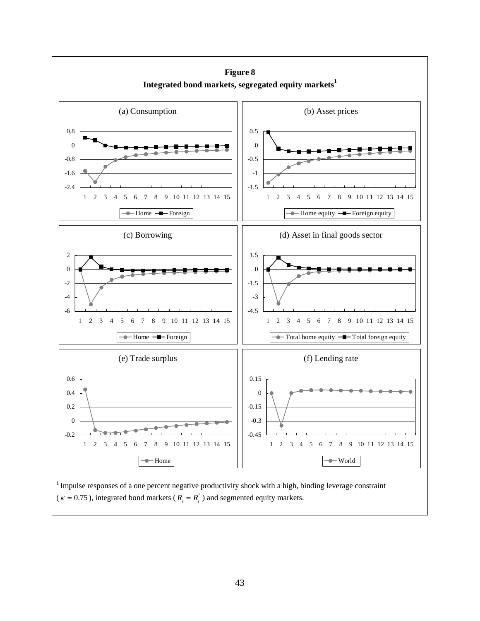

( $\kappa = 0.75$ ), integrated bond markets ( $R_{i} = R_{i}^{*}$ ) and segmented equity markets.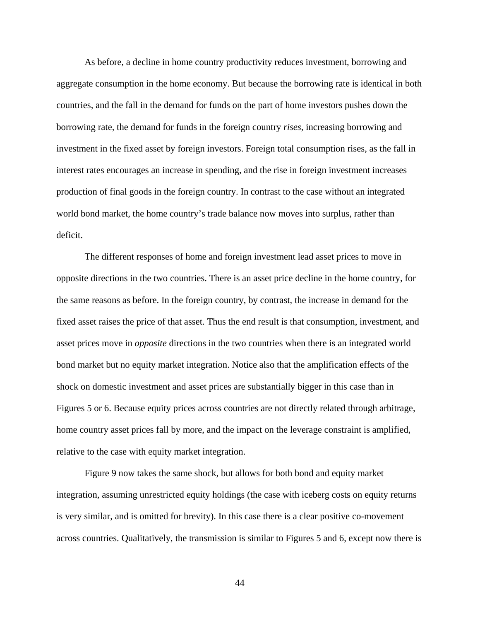As before, a decline in home country productivity reduces investment, borrowing and aggregate consumption in the home economy. But because the borrowing rate is identical in both countries, and the fall in the demand for funds on the part of home investors pushes down the borrowing rate, the demand for funds in the foreign country *rises*, increasing borrowing and investment in the fixed asset by foreign investors. Foreign total consumption rises, as the fall in interest rates encourages an increase in spending, and the rise in foreign investment increases production of final goods in the foreign country. In contrast to the case without an integrated world bond market, the home country's trade balance now moves into surplus, rather than deficit.

The different responses of home and foreign investment lead asset prices to move in opposite directions in the two countries. There is an asset price decline in the home country, for the same reasons as before. In the foreign country, by contrast, the increase in demand for the fixed asset raises the price of that asset. Thus the end result is that consumption, investment, and asset prices move in *opposite* directions in the two countries when there is an integrated world bond market but no equity market integration. Notice also that the amplification effects of the shock on domestic investment and asset prices are substantially bigger in this case than in Figures 5 or 6. Because equity prices across countries are not directly related through arbitrage, home country asset prices fall by more, and the impact on the leverage constraint is amplified, relative to the case with equity market integration.

Figure 9 now takes the same shock, but allows for both bond and equity market integration, assuming unrestricted equity holdings (the case with iceberg costs on equity returns is very similar, and is omitted for brevity). In this case there is a clear positive co-movement across countries. Qualitatively, the transmission is similar to Figures 5 and 6, except now there is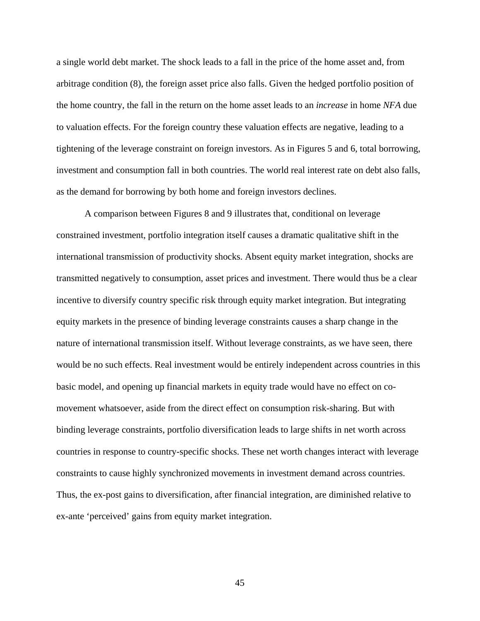a single world debt market. The shock leads to a fall in the price of the home asset and, from arbitrage condition (8), the foreign asset price also falls. Given the hedged portfolio position of the home country, the fall in the return on the home asset leads to an *increase* in home *NFA* due to valuation effects. For the foreign country these valuation effects are negative, leading to a tightening of the leverage constraint on foreign investors. As in Figures 5 and 6, total borrowing, investment and consumption fall in both countries. The world real interest rate on debt also falls, as the demand for borrowing by both home and foreign investors declines.

A comparison between Figures 8 and 9 illustrates that, conditional on leverage constrained investment, portfolio integration itself causes a dramatic qualitative shift in the international transmission of productivity shocks. Absent equity market integration, shocks are transmitted negatively to consumption, asset prices and investment. There would thus be a clear incentive to diversify country specific risk through equity market integration. But integrating equity markets in the presence of binding leverage constraints causes a sharp change in the nature of international transmission itself. Without leverage constraints, as we have seen, there would be no such effects. Real investment would be entirely independent across countries in this basic model, and opening up financial markets in equity trade would have no effect on comovement whatsoever, aside from the direct effect on consumption risk-sharing. But with binding leverage constraints, portfolio diversification leads to large shifts in net worth across countries in response to country-specific shocks. These net worth changes interact with leverage constraints to cause highly synchronized movements in investment demand across countries. Thus, the ex-post gains to diversification, after financial integration, are diminished relative to ex-ante 'perceived' gains from equity market integration.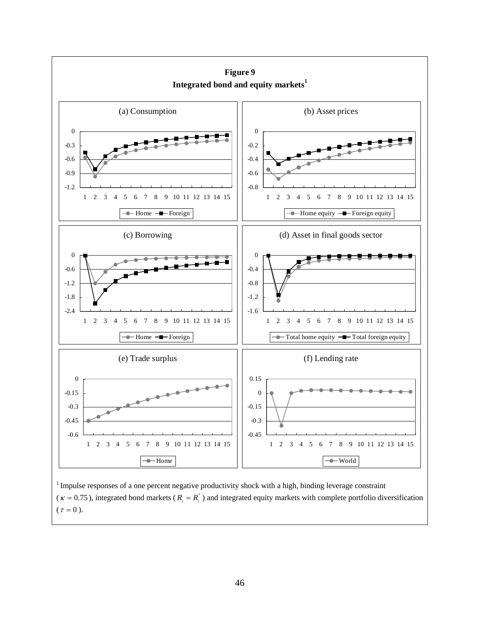

<sup>1</sup> Impulse responses of a one percent negative productivity shock with a high, binding leverage constraint ( $\kappa$  = 0.75), integrated bond markets ( $R_t = R_t^*$ ) and integrated equity markets with complete portfolio diversification  $(\tau = 0)$ .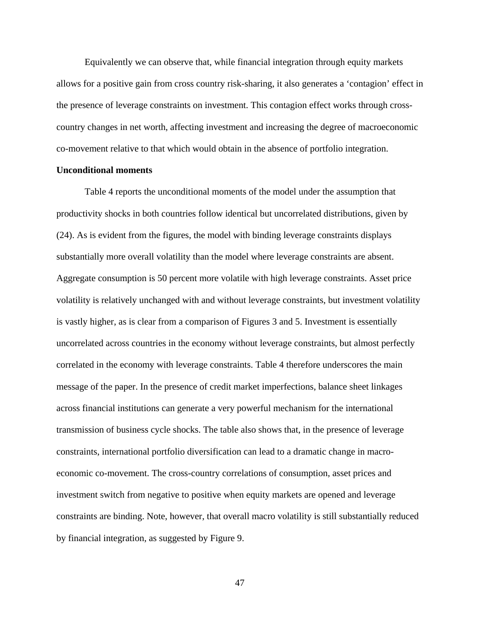Equivalently we can observe that, while financial integration through equity markets allows for a positive gain from cross country risk-sharing, it also generates a 'contagion' effect in the presence of leverage constraints on investment. This contagion effect works through crosscountry changes in net worth, affecting investment and increasing the degree of macroeconomic co-movement relative to that which would obtain in the absence of portfolio integration.

#### **Unconditional moments**

Table 4 reports the unconditional moments of the model under the assumption that productivity shocks in both countries follow identical but uncorrelated distributions, given by (24). As is evident from the figures, the model with binding leverage constraints displays substantially more overall volatility than the model where leverage constraints are absent. Aggregate consumption is 50 percent more volatile with high leverage constraints. Asset price volatility is relatively unchanged with and without leverage constraints, but investment volatility is vastly higher, as is clear from a comparison of Figures 3 and 5. Investment is essentially uncorrelated across countries in the economy without leverage constraints, but almost perfectly correlated in the economy with leverage constraints. Table 4 therefore underscores the main message of the paper. In the presence of credit market imperfections, balance sheet linkages across financial institutions can generate a very powerful mechanism for the international transmission of business cycle shocks. The table also shows that, in the presence of leverage constraints, international portfolio diversification can lead to a dramatic change in macroeconomic co-movement. The cross-country correlations of consumption, asset prices and investment switch from negative to positive when equity markets are opened and leverage constraints are binding. Note, however, that overall macro volatility is still substantially reduced by financial integration, as suggested by Figure 9.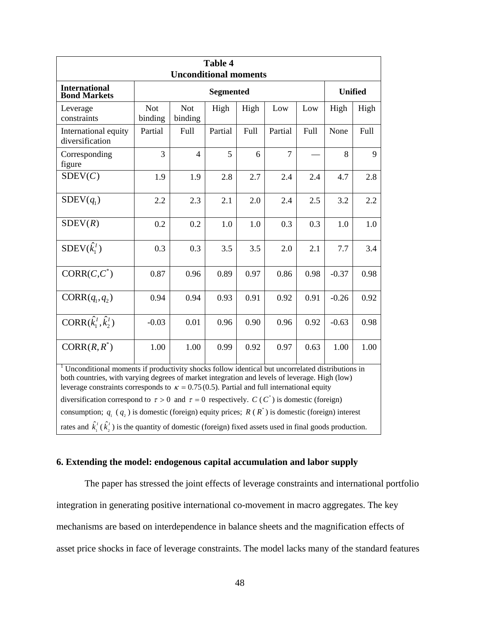| <b>Table 4</b><br><b>Unconditional moments</b>                                                                                                                                                                                                                                                                                                                                                                                                                                                                                |                       |                       |         |      |                |      |         |                |  |
|-------------------------------------------------------------------------------------------------------------------------------------------------------------------------------------------------------------------------------------------------------------------------------------------------------------------------------------------------------------------------------------------------------------------------------------------------------------------------------------------------------------------------------|-----------------------|-----------------------|---------|------|----------------|------|---------|----------------|--|
| <b>International</b><br><b>Bond Markets</b>                                                                                                                                                                                                                                                                                                                                                                                                                                                                                   | <b>Segmented</b>      |                       |         |      |                |      |         | <b>Unified</b> |  |
| Leverage<br>constraints                                                                                                                                                                                                                                                                                                                                                                                                                                                                                                       | <b>Not</b><br>binding | <b>Not</b><br>binding | High    | High | Low            | Low  | High    | High           |  |
| International equity<br>diversification                                                                                                                                                                                                                                                                                                                                                                                                                                                                                       | Partial               | <b>Full</b>           | Partial | Full | Partial        | Full | None    | Full           |  |
| Corresponding<br>figure                                                                                                                                                                                                                                                                                                                                                                                                                                                                                                       | 3                     | $\overline{4}$        | 5       | 6    | $\overline{7}$ |      | 8       | 9              |  |
| SDEV(C)                                                                                                                                                                                                                                                                                                                                                                                                                                                                                                                       | 1.9                   | 1.9                   | 2.8     | 2.7  | 2.4            | 2.4  | 4.7     | 2.8            |  |
| $SDEV(q_1)$                                                                                                                                                                                                                                                                                                                                                                                                                                                                                                                   | 2.2                   | 2.3                   | 2.1     | 2.0  | 2.4            | 2.5  | 3.2     | 2.2            |  |
| SDEV(R)                                                                                                                                                                                                                                                                                                                                                                                                                                                                                                                       | 0.2                   | 0.2                   | 1.0     | 1.0  | 0.3            | 0.3  | 1.0     | 1.0            |  |
| $SDEV(\hat{k}_1^I)$                                                                                                                                                                                                                                                                                                                                                                                                                                                                                                           | 0.3                   | 0.3                   | 3.5     | 3.5  | 2.0            | 2.1  | 7.7     | 3.4            |  |
| $CORR(C, C^*)$                                                                                                                                                                                                                                                                                                                                                                                                                                                                                                                | 0.87                  | 0.96                  | 0.89    | 0.97 | 0.86           | 0.98 | $-0.37$ | 0.98           |  |
| $CORR(q_1, q_2)$                                                                                                                                                                                                                                                                                                                                                                                                                                                                                                              | 0.94                  | 0.94                  | 0.93    | 0.91 | 0.92           | 0.91 | $-0.26$ | 0.92           |  |
| $CORR(\hat{k}_1^I, \hat{k}_2^I)$                                                                                                                                                                                                                                                                                                                                                                                                                                                                                              | $-0.03$               | 0.01                  | 0.96    | 0.90 | 0.96           | 0.92 | $-0.63$ | 0.98           |  |
| $CORR(R, R^*)$                                                                                                                                                                                                                                                                                                                                                                                                                                                                                                                | 1.00                  | 1.00                  | 0.99    | 0.92 | 0.97           | 0.63 | 1.00    | 1.00           |  |
| $1$ Unconditional moments if productivity shocks follow identical but uncorrelated distributions in<br>both countries, with varying degrees of market integration and levels of leverage. High (low)<br>leverage constraints corresponds to $\kappa = 0.75(0.5)$ . Partial and full international equity<br>diversification correspond to $\tau > 0$ and $\tau = 0$ respectively. $C(C^*)$ is domestic (foreign)<br>consumption; $q_1$ ( $q_2$ ) is domestic (foreign) equity prices; $R(R^*)$ is domestic (foreign) interest |                       |                       |         |      |                |      |         |                |  |
| rates and $\hat{k}_1^{\prime}(\hat{k}_2^{\prime})$ is the quantity of domestic (foreign) fixed assets used in final goods production.                                                                                                                                                                                                                                                                                                                                                                                         |                       |                       |         |      |                |      |         |                |  |

# **6. Extending the model: endogenous capital accumulation and labor supply**

 The paper has stressed the joint effects of leverage constraints and international portfolio integration in generating positive international co-movement in macro aggregates. The key mechanisms are based on interdependence in balance sheets and the magnification effects of asset price shocks in face of leverage constraints. The model lacks many of the standard features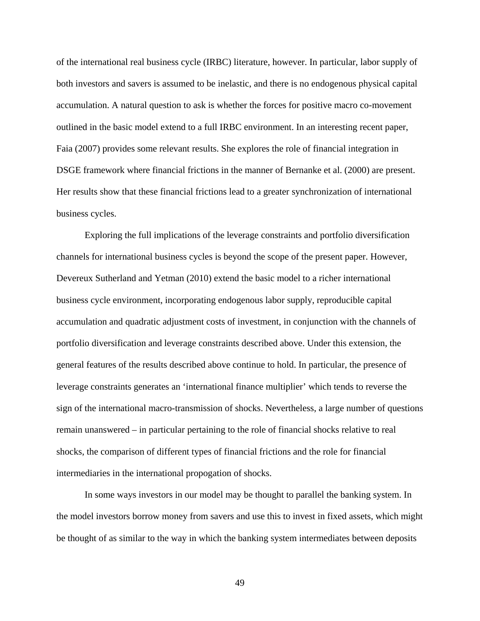of the international real business cycle (IRBC) literature, however. In particular, labor supply of both investors and savers is assumed to be inelastic, and there is no endogenous physical capital accumulation. A natural question to ask is whether the forces for positive macro co-movement outlined in the basic model extend to a full IRBC environment. In an interesting recent paper, Faia (2007) provides some relevant results. She explores the role of financial integration in DSGE framework where financial frictions in the manner of Bernanke et al. (2000) are present. Her results show that these financial frictions lead to a greater synchronization of international business cycles.

Exploring the full implications of the leverage constraints and portfolio diversification channels for international business cycles is beyond the scope of the present paper. However, Devereux Sutherland and Yetman (2010) extend the basic model to a richer international business cycle environment, incorporating endogenous labor supply, reproducible capital accumulation and quadratic adjustment costs of investment, in conjunction with the channels of portfolio diversification and leverage constraints described above. Under this extension, the general features of the results described above continue to hold. In particular, the presence of leverage constraints generates an 'international finance multiplier' which tends to reverse the sign of the international macro-transmission of shocks. Nevertheless, a large number of questions remain unanswered – in particular pertaining to the role of financial shocks relative to real shocks, the comparison of different types of financial frictions and the role for financial intermediaries in the international propogation of shocks.

In some ways investors in our model may be thought to parallel the banking system. In the model investors borrow money from savers and use this to invest in fixed assets, which might be thought of as similar to the way in which the banking system intermediates between deposits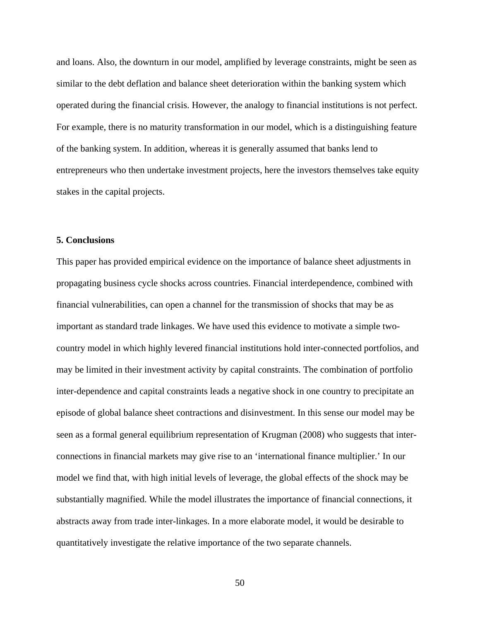and loans. Also, the downturn in our model, amplified by leverage constraints, might be seen as similar to the debt deflation and balance sheet deterioration within the banking system which operated during the financial crisis. However, the analogy to financial institutions is not perfect. For example, there is no maturity transformation in our model, which is a distinguishing feature of the banking system. In addition, whereas it is generally assumed that banks lend to entrepreneurs who then undertake investment projects, here the investors themselves take equity stakes in the capital projects.

#### **5. Conclusions**

This paper has provided empirical evidence on the importance of balance sheet adjustments in propagating business cycle shocks across countries. Financial interdependence, combined with financial vulnerabilities, can open a channel for the transmission of shocks that may be as important as standard trade linkages. We have used this evidence to motivate a simple twocountry model in which highly levered financial institutions hold inter-connected portfolios, and may be limited in their investment activity by capital constraints. The combination of portfolio inter-dependence and capital constraints leads a negative shock in one country to precipitate an episode of global balance sheet contractions and disinvestment. In this sense our model may be seen as a formal general equilibrium representation of Krugman (2008) who suggests that interconnections in financial markets may give rise to an 'international finance multiplier.' In our model we find that, with high initial levels of leverage, the global effects of the shock may be substantially magnified. While the model illustrates the importance of financial connections, it abstracts away from trade inter-linkages. In a more elaborate model, it would be desirable to quantitatively investigate the relative importance of the two separate channels.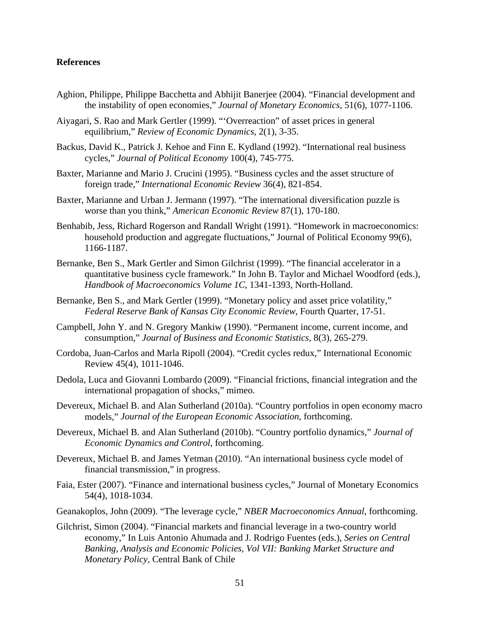# **References**

- Aghion, Philippe, Philippe Bacchetta and Abhijit Banerjee (2004). "Financial development and the instability of open economies," *Journal of Monetary Economics*, 51(6), 1077-1106.
- Aiyagari, S. Rao and Mark Gertler (1999). "'Overreaction" of asset prices in general equilibrium," *Review of Economic Dynamics*, 2(1), 3-35.
- Backus, David K., Patrick J. Kehoe and Finn E. Kydland (1992). "International real business cycles," *Journal of Political Economy* 100(4), 745-775.
- Baxter, Marianne and Mario J. Crucini (1995). "Business cycles and the asset structure of foreign trade," *International Economic Review* 36(4), 821-854.
- Baxter, Marianne and Urban J. Jermann (1997). "The international diversification puzzle is worse than you think," *American Economic Review* 87(1), 170-180.
- Benhabib, Jess, Richard Rogerson and Randall Wright (1991). "Homework in macroeconomics: household production and aggregate fluctuations," Journal of Political Economy 99(6), 1166-1187.
- Bernanke, Ben S., Mark Gertler and Simon Gilchrist (1999). "The financial accelerator in a quantitative business cycle framework." In John B. Taylor and Michael Woodford (eds.), *Handbook of Macroeconomics Volume 1C*, 1341-1393, North-Holland.
- Bernanke, Ben S., and Mark Gertler (1999). "Monetary policy and asset price volatility," *Federal Reserve Bank of Kansas City Economic Review*, Fourth Quarter, 17-51.
- Campbell, John Y. and N. Gregory Mankiw (1990). "Permanent income, current income, and consumption," *Journal of Business and Economic Statistics*, 8(3), 265-279.
- Cordoba, Juan-Carlos and Marla Ripoll (2004). "Credit cycles redux," International Economic Review 45(4), 1011-1046.
- Dedola, Luca and Giovanni Lombardo (2009). "Financial frictions, financial integration and the international propagation of shocks," mimeo.
- Devereux, Michael B. and Alan Sutherland (2010a). "Country portfolios in open economy macro models," *Journal of the European Economic Association*, forthcoming.
- Devereux, Michael B. and Alan Sutherland (2010b). "Country portfolio dynamics," *Journal of Economic Dynamics and Control*, forthcoming.
- Devereux, Michael B. and James Yetman (2010). "An international business cycle model of financial transmission," in progress.
- Faia, Ester (2007). "Finance and international business cycles," Journal of Monetary Economics 54(4), 1018-1034.
- Geanakoplos, John (2009). "The leverage cycle," *NBER Macroeconomics Annual*, forthcoming.
- Gilchrist, Simon (2004). "Financial markets and financial leverage in a two-country world economy," In Luis Antonio Ahumada and J. Rodrigo Fuentes (eds.), *Series on Central Banking, Analysis and Economic Policies, Vol VII: Banking Market Structure and Monetary Policy*, Central Bank of Chile